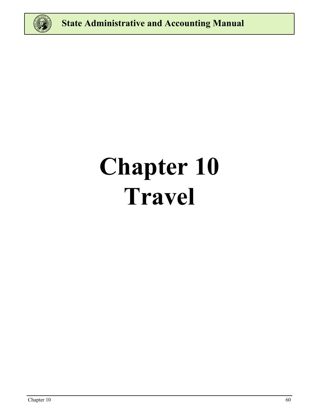

# **Chapter 10 Travel**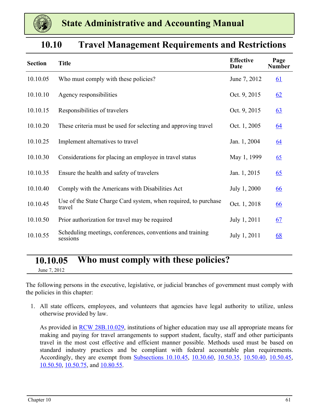<span id="page-1-0"></span>

| <b>Section</b> | <b>Title</b>                                                              | <b>Effective</b><br>Date | Page<br><b>Number</b> |
|----------------|---------------------------------------------------------------------------|--------------------------|-----------------------|
| 10.10.05       | Who must comply with these policies?                                      | June 7, 2012             | 61                    |
| 10.10.10       | Agency responsibilities                                                   | Oct. 9, 2015             | 62                    |
| 10.10.15       | Responsibilities of travelers                                             | Oct. 9, 2015             | 63                    |
| 10.10.20       | These criteria must be used for selecting and approving travel            | Oct. 1, 2005             | <u>64</u>             |
| 10.10.25       | Implement alternatives to travel                                          | Jan. 1, 2004             | 64                    |
| 10.10.30       | Considerations for placing an employee in travel status                   | May 1, 1999              | 65                    |
| 10.10.35       | Ensure the health and safety of travelers                                 | Jan. 1, 2015             | 65                    |
| 10.10.40       | Comply with the Americans with Disabilities Act                           | July 1, 2000             | <u>66</u>             |
| 10.10.45       | Use of the State Charge Card system, when required, to purchase<br>travel | Oct. 1, 2018             | <u>66</u>             |
| 10.10.50       | Prior authorization for travel may be required                            | July 1, 2011             | 67                    |
| 10.10.55       | Scheduling meetings, conferences, conventions and training<br>sessions    | July 1, 2011             | 68                    |

### **10.10 Travel Management Requirements and Restrictions**

### **10.10.05 Who must comply with these policies?**

June 7, 2012

The following persons in the executive, legislative, or judicial branches of government must comply with the policies in this chapter:

1. All state officers, employees, and volunteers that agencies have legal authority to utilize, unless otherwise provided by law.

As provided in **[RCW 28B.10.029](https://app.leg.wa.gov/rcw/default.aspx?cite=28B.10.029)**, institutions of higher education may use all appropriate means for making and paying for travel arrangements to support student, faculty, staff and other participants travel in the most cost effective and efficient manner possible. Methods used must be based on standard industry practices and be compliant with federal accountable plan requirements. Accordingly, they are exempt from [Subsections 10.10.45](#page-6-0), [10.30.60](#page-19-0), [10.50.35](#page-30-0), [10.50.40,](#page-31-0) [10.50.45](#page-31-0), [10.50.50](#page-31-0), [10.50.75](#page-34-0), and [10.80.55.](#page-47-0)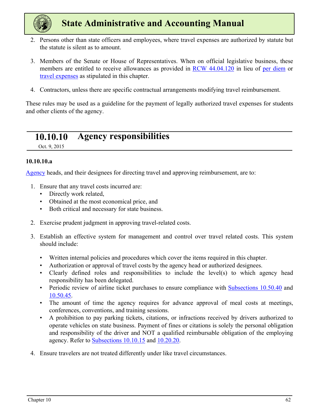<span id="page-2-0"></span>

- 2. Persons other than state officers and employees, where travel expenses are authorized by statute but the statute is silent as to amount.
- 3. Members of the Senate or House of Representatives. When on official legislative business, these members are entitled to receive allowances as provided in [RCW 44.04.120](https://app.leg.wa.gov/RCW/default.aspx?cite=44.04.120) in lieu of per diem or travel expenses as stipulated in this chapter.
- 4. Contractors, unless there are specific contractual arrangements modifying travel reimbursement.

These rules may be used as a guideline for the payment of legally authorized travel expenses for students and other clients of the agency.

### **10.10.10 Agency responsibilities**

Oct. 9, 2015

#### **10.10.10.a**

Agency heads, and their designees for directing travel and approving reimbursement, are to:

- 1. Ensure that any travel costs incurred are:
	- Directly work related,
	- Obtained at the most economical price, and
	- Both critical and necessary for state business.
- 2. Exercise prudent judgment in approving travel-related costs.
- 3. Establish an effective system for management and control over travel related costs. This system should include:
	- Written internal policies and procedures which cover the items required in this chapter.
	- Authorization or approval of travel costs by the agency head or authorized designees.
	- Clearly defined roles and responsibilities to include the level(s) to which agency head responsibility has been delegated.
	- Periodic review of airline ticket purchases to ensure compliance with [Subsections 10.50.40](#page-31-0) and [10.50.45](#page-31-0).
	- The amount of time the agency requires for advance approval of meal costs at meetings, conferences, conventions, and training sessions.
	- A prohibition to pay parking tickets, citations, or infractions received by drivers authorized to operate vehicles on state business. Payment of fines or citations is solely the personal obligation and responsibility of the driver and NOT a qualified reimbursable obligation of the employing agency. Refer to [Subsections 10.10.15](#page-3-0) and [10.20.20](#page-4-0).
- 4. Ensure travelers are not treated differently under like travel circumstances.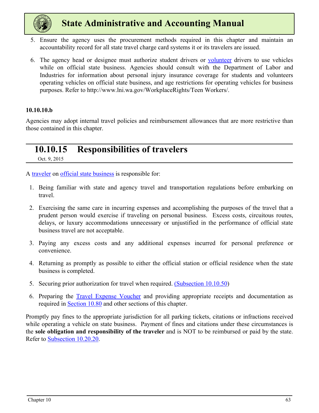<span id="page-3-0"></span>

- 5. Ensure the agency uses the procurement methods required in this chapter and maintain an accountability record for all state travel charge card systems it or its travelers are issued.
- 6. The agency head or designee must authorize student drivers or volunteer drivers to use vehicles while on official state business. Agencies should consult with the Department of Labor and Industries for information about personal injury insurance coverage for students and volunteers operating vehicles on official state business, and age restrictions for operating vehicles for business purposes. Refer to http://www.lni.wa.gov/WorkplaceRights/Teen Workers/.

#### **10.10.10.b**

Agencies may adopt internal travel policies and reimbursement allowances that are more restrictive than those contained in this chapter.

### **10.10.15 Responsibilities of travelers**

Oct. 9, 2015

A traveler on official state business is responsible for:

- 1. Being familiar with state and agency travel and transportation regulations before embarking on travel.
- 2. Exercising the same care in incurring expenses and accomplishing the purposes of the travel that a prudent person would exercise if traveling on personal business. Excess costs, circuitous routes, delays, or luxury accommodations unnecessary or unjustified in the performance of official state business travel are not acceptable.
- 3. Paying any excess costs and any additional expenses incurred for personal preference or convenience.
- 4. Returning as promptly as possible to either the official station or official residence when the state business is completed.
- 5. Securing prior authorization for travel when required. [\(Subsection 10.10.50](#page-7-0))
- 6. Preparing the [Travel Expense Vouche](https://ofm.wa.gov/sites/default/files/public/legacy/policy/TravelExpenseVoucher-Employees%28A20-A%29.xlsx)r and providing appropriate receipts and documentation as required in [Section 10.80](#page-45-0) and other sections of this chapter.

Promptly pay fines to the appropriate jurisdiction for all parking tickets, citations or infractions received while operating a vehicle on state business. Payment of fines and citations under these circumstances is the **sole obligation and responsibility of the traveler** and is NOT to be reimbursed or paid by the state. Refer to [Subsection 10.20.20](#page-10-0).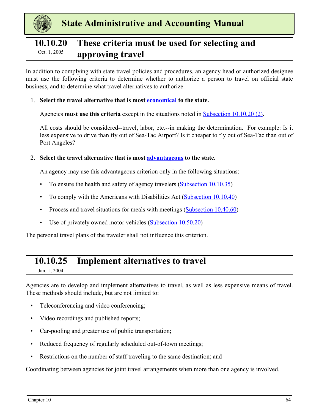<span id="page-4-0"></span>

### **10.10.20 These criteria must be used for selecting and Dct.** 1, 2005 **approving travel**

In addition to complying with state travel policies and procedures, an agency head or authorized designee must use the following criteria to determine whether to authorize a person to travel on official state business, and to determine what travel alternatives to authorize.

#### 1. **Select the travel alternative that is most economical to the state.**

Agencies **must use this criteria** except in the situations noted in Subsection 10.10.20 (2).

All costs should be considered--travel, labor, etc.--in making the determination. For example: Is it less expensive to drive than fly out of Sea-Tac Airport? Is it cheaper to fly out of Sea-Tac than out of Port Angeles?

#### 2. **Select the travel alternative that is most advantageous to the state.**

An agency may use this advantageous criterion only in the following situations:

- To ensure the health and safety of agency travelers [\(Subsection 10.10.35\)](#page-5-0)
- To comply with the Americans with Disabilities Act [\(Subsection 10.10.40\)](#page-6-0)
- Process and travel situations for meals with meetings [\(Subsection 10.40.60\)](#page-25-0)
- Use of privately owned motor vehicles ([Subsection 10.50.20](#page-27-0))

The personal travel plans of the traveler shall not influence this criterion.

### **10.10.25 Implement alternatives to travel**

Jan. 1, 2004

Agencies are to develop and implement alternatives to travel, as well as less expensive means of travel. These methods should include, but are not limited to:

- Teleconferencing and video conferencing;
- Video recordings and published reports;
- Car-pooling and greater use of public transportation;
- Reduced frequency of regularly scheduled out-of-town meetings;
- Restrictions on the number of staff traveling to the same destination; and

Coordinating between agencies for joint travel arrangements when more than one agency is involved.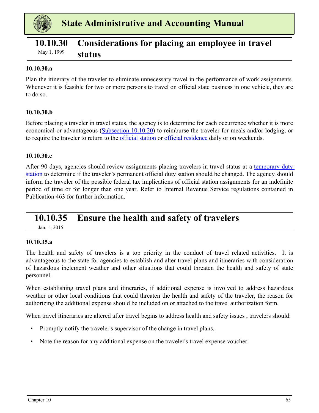<span id="page-5-0"></span>

### **10.10.30 Considerations for placing an employee in travel status** May 1, 1999

#### **10.10.30.a**

Plan the itinerary of the traveler to eliminate unnecessary travel in the performance of work assignments. Whenever it is feasible for two or more persons to travel on official state business in one vehicle, they are to do so.

#### **10.10.30.b**

Before placing a traveler in travel status, the agency is to determine for each occurrence whether it is more economical or advantageous [\(Subsection 10.10.20](#page-4-0)) to reimburse the traveler for meals and/or lodging, or to require the traveler to return to the *official station* or *official residence* daily or on weekends.

#### **10.10.30.c**

After 90 days, agencies should review assignments placing travelers in travel status at a temporary duty station to determine if the traveler's permanent official duty station should be changed. The agency should inform the traveler of the possible federal tax implications of official station assignments for an indefinite period of time or for longer than one year. Refer to Internal Revenue Service regulations contained in Publication 463 for further information.

### **10.10.35 Ensure the health and safety of travelers**

Jan. 1, 2015

#### **10.10.35.a**

The health and safety of travelers is a top priority in the conduct of travel related activities. It is advantageous to the state for agencies to establish and alter travel plans and itineraries with consideration of hazardous inclement weather and other situations that could threaten the health and safety of state personnel.

When establishing travel plans and itineraries, if additional expense is involved to address hazardous weather or other local conditions that could threaten the health and safety of the traveler, the reason for authorizing the additional expense should be included on or attached to the travel authorization form.

When travel itineraries are altered after travel begins to address health and safety issues , travelers should:

- Promptly notify the traveler's supervisor of the change in travel plans.
- Note the reason for any additional expense on the traveler's travel expense voucher.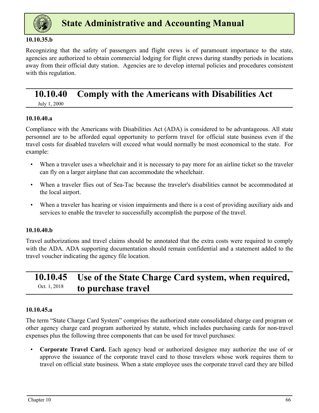<span id="page-6-0"></span>

#### **10.10.35.b**

Recognizing that the safety of passengers and flight crews is of paramount importance to the state, agencies are authorized to obtain commercial lodging for flight crews during standby periods in locations away from their official duty station. Agencies are to develop internal policies and procedures consistent with this regulation.

### **10.10.40 Comply with the Americans with Disabilities Act**

July 1, 2000

#### **10.10.40.a**

Compliance with the Americans with Disabilities Act (ADA) is considered to be advantageous. All state personnel are to be afforded equal opportunity to perform travel for official state business even if the travel costs for disabled travelers will exceed what would normally be most economical to the state. For example:

- When a traveler uses a wheelchair and it is necessary to pay more for an airline ticket so the traveler can fly on a larger airplane that can accommodate the wheelchair.
- When a traveler flies out of Sea-Tac because the traveler's disabilities cannot be accommodated at the local airport.
- When a traveler has hearing or vision impairments and there is a cost of providing auxiliary aids and services to enable the traveler to successfully accomplish the purpose of the travel.

#### **10.10.40.b**

Travel authorizations and travel claims should be annotated that the extra costs were required to comply with the ADA. ADA supporting documentation should remain confidential and a statement added to the travel voucher indicating the agency file location.

### **10.10.45 Use of the State Charge Card system, when required, Oct.** 1, 2018 **to purchase travel**

#### **10.10.45.a**

The term "State Charge Card System" comprises the authorized state consolidated charge card program or other agency charge card program authorized by statute, which includes purchasing cards for non-travel expenses plus the following three components that can be used for travel purchases:

• **Corporate Travel Card.** Each agency head or authorized designee may authorize the use of or approve the issuance of the corporate travel card to those travelers whose work requires them to travel on official state business. When a state employee uses the corporate travel card they are billed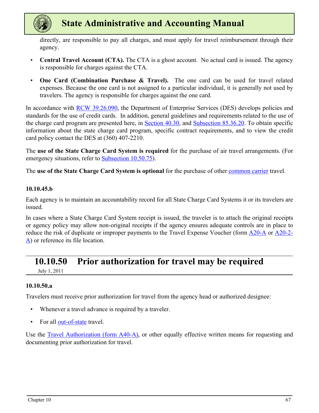<span id="page-7-0"></span>

directly, are responsible to pay all charges, and must apply for travel reimbursement through their agency.

- **Central Travel Account (CTA).** The CTA is a ghost account. No actual card is issued. The agency is responsible for charges against the CTA.
- **One Card (Combination Purchase & Travel).** The one card can be used for travel related expenses. Because the one card is not assigned to a particular individual, it is generally not used by travelers. The agency is responsible for charges against the one card.

In accordance with [RCW 39.26.090](https://app.leg.wa.gov/rcw/default.aspx?cite=39.26.090), the Department of Enterprise Services (DES) develops policies and standards for the use of credit cards. In addition, general guidelines and requirements related to the use of the charge card program are presented here, in [Section 40.30,](#page-23-0) and Subsection 85.36.20. To obtain specific information about the state charge card program, specific contract requirements, and to view the credit card policy contact the DES at (360) 407-2210.

The **use of the State Charge Card System is required** for the purchase of air travel arrangements. (For emergency situations, refer to [Subsection 10.50.75\)](#page-34-0).

The **use of the State Charge Card System is optional** for the purchase of other common carrier travel.

#### **10.10.45.b**

Each agency is to maintain an accountability record for all State Charge Card Systems it or its travelers are issued.

In cases where a State Charge Card System receipt is issued, the traveler is to attach the original receipts or agency policy may allow non-original receipts if the agency ensures adequate controls are in place to reduce the risk of duplicate or improper payments to the Travel Expense Voucher (form [A20-A](https://ofm.wa.gov/sites/default/files/public/legacy/policy/TravelExpenseVoucher-Employees%28A20-A%29.xlsx) or [A20-2-](https://ofm.wa.gov/sites/default/files/public/legacy/policy/TravelExpenseVoucher-BoardMembersandCommissions%28A20-2A%29.xlsx)  $\Delta$ ) or reference its file location.

### **10.10.50 Prior authorization for travel may be required**

July 1, 2011

#### **10.10.50.a**

Travelers must receive prior authorization for travel from the agency head or authorized designee:

- Whenever a travel advance is required by a traveler.
- For all out-of-state travel.

Use the [Travel Authorization \(form A40-A\)](https://ofm.wa.gov/sites/default/files/public/legacy/policy/TravelAuthorization%28A40%29.pdf), or other equally effective written means for requesting and documenting prior authorization for travel.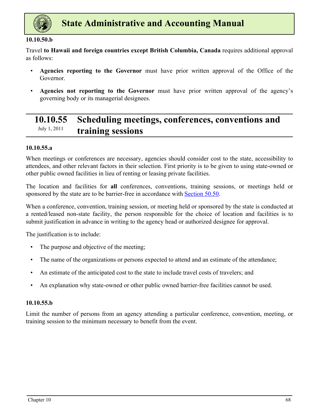<span id="page-8-0"></span>

#### **10.10.50.b**

Travel **to Hawaii and foreign countries except British Columbia, Canada** requires additional approval as follows:

- **Agencies reporting to the Governor** must have prior written approval of the Office of the Governor.
- **Agencies not reporting to the Governor** must have prior written approval of the agency's governing body or its managerial designees.

### **10.10.55 Scheduling meetings, conferences, conventions and training sessions** July 1, 2011

#### **10.10.55.a**

When meetings or conferences are necessary, agencies should consider cost to the state, accessibility to attendees, and other relevant factors in their selection. First priority is to be given to using state-owned or other public owned facilities in lieu of renting or leasing private facilities.

The location and facilities for **all** conferences, conventions, training sessions, or meetings held or sponsored by the state are to be barrier-free in accordance with **Section 50.50**.

When a conference, convention, training session, or meeting held or sponsored by the state is conducted at a rented/leased non-state facility, the person responsible for the choice of location and facilities is to submit justification in advance in writing to the agency head or authorized designee for approval.

The justification is to include:

- The purpose and objective of the meeting;
- The name of the organizations or persons expected to attend and an estimate of the attendance;
- An estimate of the anticipated cost to the state to include travel costs of travelers; and
- An explanation why state-owned or other public owned barrier-free facilities cannot be used.

#### **10.10.55.b**

Limit the number of persons from an agency attending a particular conference, convention, meeting, or training session to the minimum necessary to benefit from the event.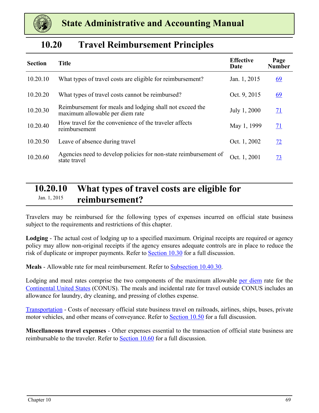<span id="page-9-0"></span>

### **10.20 Travel Reimbursement Principles**

| <b>Section</b> | <b>Title</b>                                                                                | <b>Effective</b><br>Date | Page<br><b>Number</b> |
|----------------|---------------------------------------------------------------------------------------------|--------------------------|-----------------------|
| 10.20.10       | What types of travel costs are eligible for reimbursement?                                  | Jan. 1, 2015             | <u>69</u>             |
| 10.20.20       | What types of travel costs cannot be reimbursed?                                            | Oct. 9, 2015             | <u>69</u>             |
| 10.20.30       | Reimbursement for meals and lodging shall not exceed the<br>maximum allowable per diem rate | July 1, 2000             | 71                    |
| 10.20.40       | How travel for the convenience of the traveler affects<br>reimbursement                     | May 1, 1999              | 71                    |
| 10.20.50       | Leave of absence during travel                                                              | Oct. 1, 2002             | 72                    |
| 10.20.60       | Agencies need to develop policies for non-state reimbursement of<br>state travel            | Oct. 1, 2001             | 73                    |

### **10.20.10 What types of travel costs are eligible for**  Jan. 1, 2015 **reimbursement?**

Travelers may be reimbursed for the following types of expenses incurred on official state business subject to the requirements and restrictions of this chapter.

**Lodging** - The actual cost of lodging up to a specified maximum. Original receipts are required or agency policy may allow non-original receipts if the agency ensures adequate controls are in place to reduce the risk of duplicate or improper payments. Refer to [Section 10.30](#page-14-0) for a full discussion.

**Meals** - Allowable rate for meal reimbursement. Refer to [Subsection 10.40.30.](#page-23-0)

Lodging and meal rates comprise the two components of the maximum allowable per diem rate for the Continental United States (CONUS). The meals and incidental rate for travel outside CONUS includes an allowance for laundry, dry cleaning, and pressing of clothes expense.

Transportation - Costs of necessary official state business travel on railroads, airlines, ships, buses, private motor vehicles, and other means of conveyance. Refer to **Section 10.50** for a full discussion.

**Miscellaneous travel expenses** - Other expenses essential to the transaction of official state business are reimbursable to the traveler. Refer to **Section 10.60** for a full discussion.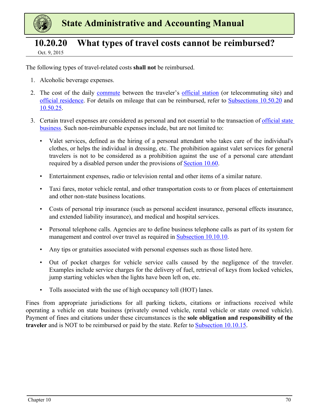<span id="page-10-0"></span>

### **10.20.20 What types of travel costs cannot be reimbursed?**

Oct. 9, 2015

The following types of travel-related costs **shall not** be reimbursed.

- 1. Alcoholic beverage expenses.
- 2. The cost of the daily commute between the traveler's official station (or telecommuting site) and official residence. For details on mileage that can be reimbursed, refer to [Subsections 10.50.20](#page-27-0) and [10.50.25](#page-28-0).
- 3. Certain travel expenses are considered as personal and not essential to the transaction of official state business. Such non-reimbursable expenses include, but are not limited to:
	- Valet services, defined as the hiring of a personal attendant who takes care of the individual's clothes, or helps the individual in dressing, etc. The prohibition against valet services for general travelers is not to be considered as a prohibition against the use of a personal care attendant required by a disabled person under the provisions of [Section 10.60.](#page-35-0)
	- Entertainment expenses, radio or television rental and other items of a similar nature.
	- Taxi fares, motor vehicle rental, and other transportation costs to or from places of entertainment and other non-state business locations.
	- Costs of personal trip insurance (such as personal accident insurance, personal effects insurance, and extended liability insurance), and medical and hospital services.
	- Personal telephone calls. Agencies are to define business telephone calls as part of its system for management and control over travel as required in [Subsection 10.10.10.](#page-2-0)
	- Any tips or gratuities associated with personal expenses such as those listed here.
	- Out of pocket charges for vehicle service calls caused by the negligence of the traveler. Examples include service charges for the delivery of fuel, retrieval of keys from locked vehicles, jump starting vehicles when the lights have been left on, etc.
	- Tolls associated with the use of high occupancy toll (HOT) lanes.

Fines from appropriate jurisdictions for all parking tickets, citations or infractions received while operating a vehicle on state business (privately owned vehicle, rental vehicle or state owned vehicle). Payment of fines and citations under these circumstances is the **sole obligation and responsibility of the traveler** and is NOT to be reimbursed or paid by the state. Refer to [Subsection 10.10.15.](#page-3-0)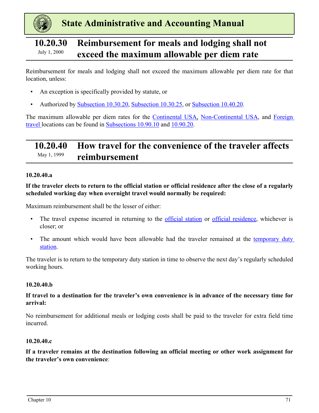<span id="page-11-0"></span>

### **10.20.30 Reimbursement for meals and lodging shall not Exceed the maximum allowable per diem rate**

Reimbursement for meals and lodging shall not exceed the maximum allowable per diem rate for that location, unless:

- An exception is specifically provided by statute, or
- Authorized by [Subsection 10.30.20](#page-15-0), [Subsection 10.30.25,](#page-17-0) or [Subsection 10.40.20](#page-22-0).

The maximum allowable per diem rates for the **Continental USA**, Non-Continental USA, and Foreign travel locations can be found in [Subsections 10.90.10](#page-51-0) and [10.90.20.](#page-52-0)

### **10.20.40 How travel for the convenience of the traveler affects reimbursement** May 1, 1999

#### **10.20.40.a**

**If the traveler elects to return to the official station or official residence after the close of a regularly scheduled working day when overnight travel would normally be required:** 

Maximum reimbursement shall be the lesser of either:

- The travel expense incurred in returning to the official station or official residence, whichever is closer; or
- The amount which would have been allowable had the traveler remained at the temporary duty station.

The traveler is to return to the temporary duty station in time to observe the next day's regularly scheduled working hours.

#### **10.20.40.b**

#### **If travel to a destination for the traveler's own convenience is in advance of the necessary time for arrival:**

No reimbursement for additional meals or lodging costs shall be paid to the traveler for extra field time incurred.

#### **10.20.40.c**

**If a traveler remains at the destination following an official meeting or other work assignment for the traveler's own convenience**: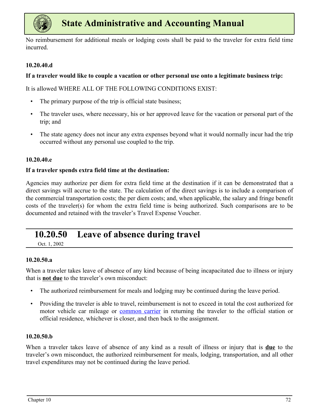<span id="page-12-0"></span>

No reimbursement for additional meals or lodging costs shall be paid to the traveler for extra field time incurred.

#### **10.20.40.d**

#### **If a traveler would like to couple a vacation or other personal use onto a legitimate business trip:**

It is allowed WHERE ALL OF THE FOLLOWING CONDITIONS EXIST:

- The primary purpose of the trip is official state business;
- The traveler uses, where necessary, his or her approved leave for the vacation or personal part of the trip; and
- The state agency does not incur any extra expenses beyond what it would normally incur had the trip occurred without any personal use coupled to the trip.

#### **10.20.40.e**

#### **If a traveler spends extra field time at the destination:**

Agencies may authorize per diem for extra field time at the destination if it can be demonstrated that a direct savings will accrue to the state. The calculation of the direct savings is to include a comparison of the commercial transportation costs; the per diem costs; and, when applicable, the salary and fringe benefit costs of the traveler(s) for whom the extra field time is being authorized. Such comparisons are to be documented and retained with the traveler's Travel Expense Voucher.

### **10.20.50 Leave of absence during travel**

Oct. 1, 2002

#### **10.20.50.a**

When a traveler takes leave of absence of any kind because of being incapacitated due to illness or injury that is **not due** to the traveler's own misconduct:

- The authorized reimbursement for meals and lodging may be continued during the leave period.
- Providing the traveler is able to travel, reimbursement is not to exceed in total the cost authorized for motor vehicle car mileage or common carrier in returning the traveler to the official station or official residence, whichever is closer, and then back to the assignment.

#### **10.20.50.b**

When a traveler takes leave of absence of any kind as a result of illness or injury that is **due** to the traveler's own misconduct, the authorized reimbursement for meals, lodging, transportation, and all other travel expenditures may not be continued during the leave period.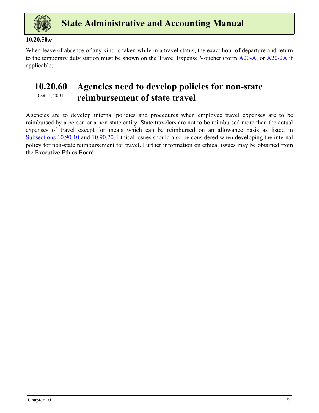<span id="page-13-0"></span>

#### **10.20.50.c**

When leave of absence of any kind is taken while in a travel status, the exact hour of departure and return to the temporary duty station must be shown on the Travel Expense Voucher (form [A20-A](https://ofm.wa.gov/sites/default/files/public/legacy/policy/TravelExpenseVoucher-Employees%28A20-A%29.xlsx), or [A20-2A](https://ofm.wa.gov/sites/default/files/public/legacy/policy/TravelExpenseVoucher-BoardMembersandCommissions%28A20-2A%29.xlsx) if applicable).

### **10.20.60 Agencies need to develop policies for non-state**  <sup>Oct. 1, 2001</sup> reimbursement of state travel

Agencies are to develop internal policies and procedures when employee travel expenses are to be reimbursed by a person or a non-state entity. State travelers are not to be reimbursed more than the actual expenses of travel except for meals which can be reimbursed on an allowance basis as listed in [Subsections 10.90.10](#page-51-0) and [10.90.20](#page-52-0). Ethical issues should also be considered when developing the internal policy for non-state reimbursement for travel. Further information on ethical issues may be obtained from the Executive Ethics Board.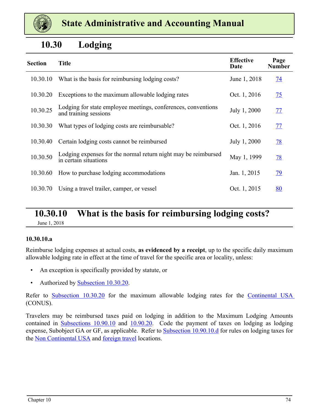<span id="page-14-0"></span>

### **10.30 Lodging**

| <b>Section</b> | <b>Title</b>                                                                            | <b>Effective</b><br>Date | Page<br><b>Number</b> |
|----------------|-----------------------------------------------------------------------------------------|--------------------------|-----------------------|
| 10.30.10       | What is the basis for reimbursing lodging costs?                                        | June 1, 2018             | 74                    |
| 10.30.20       | Exceptions to the maximum allowable lodging rates                                       | Oct. 1, 2016             | $\overline{25}$       |
| 10.30.25       | Lodging for state employee meetings, conferences, conventions<br>and training sessions  | July 1, 2000             | 77                    |
| 10.30.30       | What types of lodging costs are reimbursable?                                           | Oct. 1, 2016             | 77                    |
| 10.30.40       | Certain lodging costs cannot be reimbursed                                              | July 1, 2000             | <u>78</u>             |
| 10.30.50       | Lodging expenses for the normal return night may be reimbursed<br>in certain situations | May 1, 1999              | <u>78</u>             |
| 10.30.60       | How to purchase lodging accommodations                                                  | Jan. 1, 2015             | <u>79</u>             |
| 10.30.70       | Using a travel trailer, camper, or vessel                                               | Oct. 1, 2015             | <u>80</u>             |

#### **10.30.10 What is the basis for reimbursing lodging costs?** June 1, 2018

#### **10.30.10.a**

Reimburse lodging expenses at actual costs, **as evidenced by a receipt**, up to the specific daily maximum allowable lodging rate in effect at the time of travel for the specific area or locality, unless:

- An exception is specifically provided by statute, or
- Authorized by [Subsection 10.30.20](#page-15-0).

Refer to [Subsection 10.30.20](#page-15-0) for the maximum allowable lodging rates for the Continental USA (CONUS).

Travelers may be reimbursed taxes paid on lodging in addition to the Maximum Lodging Amounts contained in [Subsections 10.90.10](#page-51-0) and [10.90.20](#page-52-0). Code the payment of taxes on lodging as lodging expense, Subobject GA or GF, as applicable. Refer to [Subsection 10.90.10.d](#page-51-0) for rules on lodging taxes for the Non Continental USA and foreign travel locations.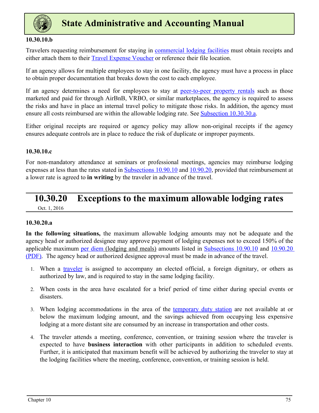<span id="page-15-0"></span>

#### **10.30.10.b**

Travelers requesting reimbursement for staying in commercial lodging facilities must obtain receipts and either attach them to their [Travel Expense Voucher](https://ofm.wa.gov/sites/default/files/public/legacy/policy/TravelExpenseVoucher-Employees%28A20-A%29.xlsx) or reference their file location.

If an agency allows for multiple employees to stay in one facility, the agency must have a process in place to obtain proper documentation that breaks down the cost to each employee.

If an agency determines a need for employees to stay at peer-to-peer property rentals such as those marketed and paid for through AirBnB, VRBO, or similar marketplaces, the agency is required to assess the risks and have in place an internal travel policy to mitigate those risks. In addition, the agency must ensure all costs reimbursed are within the allowable lodging rate. See [Subsection 10.30.30.a](#page-17-0).

Either original receipts are required or agency policy may allow non-original receipts if the agency ensures adequate controls are in place to reduce the risk of duplicate or improper payments.

#### **10.30.10.c**

For non-mandatory attendance at seminars or professional meetings, agencies may reimburse lodging expenses at less than the rates stated in [Subsections 10.90.10](#page-51-0) and [10.90.20](#page-52-0), provided that reimbursement at a lower rate is agreed to **in writing** by the traveler in advance of the travel.

#### **10.30.20 Exceptions to the maximum allowable lodging rates** Oct. 1, 2016

#### **10.30.20.a**

**In the following situations,** the maximum allowable lodging amounts may not be adequate and the agency head or authorized designee may approve payment of lodging expenses not to exceed 150% of th[e](https://ofm.wa.gov/sites/default/files/public/legacy/policy/ReimbursementRatesforLodgingMealsandPrivatelyOwnedVehicleMileage.pdf)  applicable maximum per diem (lodging and meals) amounts listed in [Subsections 10.90.10](#page-51-0) and [10.90.20](https://ofm.wa.gov/sites/default/files/public/legacy/policy/ReimbursementRatesforLodgingMealsandPrivatelyOwnedVehicleMileage.pdf) [\(PDF\).](https://ofm.wa.gov/sites/default/files/public/legacy/policy/ReimbursementRatesforLodgingMealsandPrivatelyOwnedVehicleMileage.pdf) The agency head or authorized designee approval must be made in advance of the travel.

- 1. When a traveler is assigned to accompany an elected official, a foreign dignitary, or others as authorized by law, and is required to stay in the same lodging facility.
- 2. When costs in the area have escalated for a brief period of time either during special events or disasters.
- 3. When lodging accommodations in the area of the temporary duty station are not available at or below the maximum lodging amount, and the savings achieved from occupying less expensive lodging at a more distant site are consumed by an increase in transportation and other costs.
- 4. The traveler attends a meeting, conference, convention, or training session where the traveler is expected to have **business interaction** with other participants in addition to scheduled events. Further, it is anticipated that maximum benefit will be achieved by authorizing the traveler to stay at the lodging facilities where the meeting, conference, convention, or training session is held.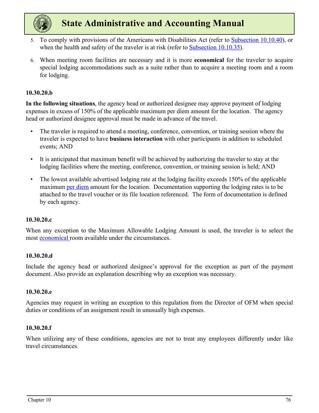

- 5. To comply with provisions of the Americans with Disabilities Act (refer to [Subsection 10.10.40](#page-6-0)), or when the health and safety of the traveler is at risk (refer to [Subsection 10.10.35\)](#page-5-0).
- 6. When meeting room facilities are necessary and it is more **economical** for the traveler to acquire special lodging accommodations such as a suite rather than to acquire a meeting room and a room for lodging.

#### **10.30.20.b**

**In the following situations**, the agency head or authorized designee may approve payment of lodging expenses in excess of 150% of the applicable maximum per diem amount for the location. The agency head or authorized designee approval must be made in advance of the travel.

- The traveler is required to attend a meeting, conference, convention, or training session where the traveler is expected to have **business interaction** with other participants in addition to scheduled events; AND
- It is anticipated that maximum benefit will be achieved by authorizing the traveler to stay at the lodging facilities where the meeting, conference, convention, or training session is held; AND
- The lowest available advertised lodging rate at the lodging facility exceeds 150% of the applicable maximum per diem amount for the location. Documentation supporting the lodging rates is to be attached to the travel voucher or its file location referenced. The form of documentation is defined by each agency.

#### **10.30.20.c**

When any exception to the Maximum Allowable Lodging Amount is used, the traveler is to select the most economical room available under the circumstances.

#### **10.30.20.d**

Include the agency head or authorized designee's approval for the exception as part of the payment document. Also provide an explanation describing why an exception was necessary.

#### **10.30.20.e**

Agencies may request in writing an exception to this regulation from the Director of OFM when special duties or conditions of an assignment result in unusually high expenses.

#### **10.30.20.f**

When utilizing any of these conditions, agencies are not to treat any employees differently under like travel circumstances.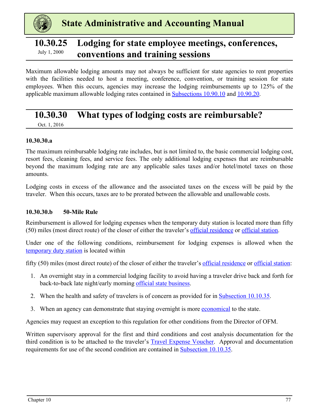<span id="page-17-0"></span>

### **10.30.25 Lodging for state employee meetings, conferences,**  July 1, 2000 **conventions and training sessions**

Maximum allowable lodging amounts may not always be sufficient for state agencies to rent properties with the facilities needed to host a meeting, conference, convention, or training session for state employees. When this occurs, agencies may increase the lodging reimbursements up to 125% of the applicable maximum allowable lodging rates contained in [Subsections 10.90.10](#page-51-0) and [10.90.20.](#page-52-0)

### **10.30.30 What types of lodging costs are reimbursable?**

Oct. 1, 2016

#### **10.30.30.a**

The maximum reimbursable lodging rate includes, but is not limited to, the basic commercial lodging cost, resort fees, cleaning fees, and service fees. The only additional lodging expenses that are reimbursable beyond the maximum lodging rate are any applicable sales taxes and/or hotel/motel taxes on those amounts.

Lodging costs in excess of the allowance and the associated taxes on the excess will be paid by the traveler. When this occurs, taxes are to be prorated between the allowable and unallowable costs.

#### **10.30.30.b 50-Mile Rule**

Reimbursement is allowed for lodging expenses when the temporary duty station is located more than fifty (50) miles (most direct route) of the closer of either the traveler's official residence or official station.

Under one of the following conditions, reimbursement for lodging expenses is allowed when the temporary duty station is located within

fifty (50) miles (most direct route) of the closer of either the traveler's official residence or official station:

- 1. An overnight stay in a commercial lodging facility to avoid having a traveler drive back and forth for back-to-back late night/early morning official state business.
- 2. When the health and safety of travelers is of concern as provided for in [Subsection 10.10.35.](#page-5-0)
- 3. When an agency can demonstrate that staying overnight is more economical to the state.

Agencies may request an exception to this regulation for other conditions from the Director of OFM.

Written supervisory approval for the first and third conditions and cost analysis documentation for the third condition is to be attached to the traveler's [Travel Expense Voucher](https://ofm.wa.gov/sites/default/files/public/legacy/policy/TravelExpenseVoucher-Employees%28A20-A%29.xlsx). Approval and documentation requirements for use of the second condition are contained in [Subsection 10.10.35.](#page-5-0)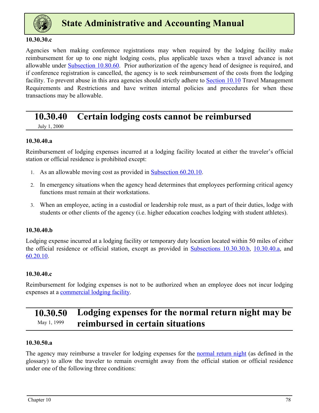<span id="page-18-0"></span>

#### **10.30.30.c**

Agencies when making conference registrations may when required by the lodging facility make reimbursement for up to one night lodging costs, plus applicable taxes when a travel advance is not allowable under [Subsection 10.80.60](#page-48-0). Prior authorization of the agency head of designee is required, and if conference registration is cancelled, the agency is to seek reimbursement of the costs from the lodging facility. To prevent abuse in this area agencies should strictly adhere to [Section 10.10](#page-1-0) Travel Management Requirements and Restrictions and have written internal policies and procedures for when these transactions may be allowable.

### **10.30.40 Certain lodging costs cannot be reimbursed**

July 1, 2000

#### **10.30.40.a**

Reimbursement of lodging expenses incurred at a lodging facility located at either the traveler's official station or official residence is prohibited except:

- 1. As an allowable moving cost as provided in **Subsection 60.20.10.**
- 2. In emergency situations when the agency head determines that employees performing critical agency functions must remain at their workstations.
- 3. When an employee, acting in a custodial or leadership role must, as a part of their duties, lodge with students or other clients of the agency (i.e. higher education coaches lodging with student athletes).

#### **10.30.40.b**

Lodging expense incurred at a lodging facility or temporary duty location located within 50 miles of either the official residence or official station, except as provided in [Subsections 10.30.30.b](#page-17-0), 10.30.40.a, and 60.20.10.

#### **10.30.40.c**

Reimbursement for lodging expenses is not to be authorized when an employee does not incur lodging expenses at a commercial lodging facility.

### **10.30.50 Lodging expenses for the normal return night may be**  *May 1, 1999* reimbursed in certain situations

#### **10.30.50.a**

The agency may reimburse a traveler for lodging expenses for the normal return night (as defined in the glossary) to allow the traveler to remain overnight away from the official station or official residence under one of the following three conditions: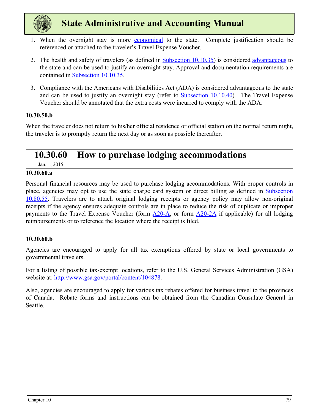<span id="page-19-0"></span>

- 1. When the overnight stay is more economical to the state. Complete justification should be referenced or attached to the traveler's Travel Expense Voucher.
- 2. The health and safety of travelers (as defined in [Subsection 10.10.35](#page-5-0)) is considered advantageous to the state and can be used to justify an overnight stay. Approval and documentation requirements are contained in [Subsection 10.10.35](#page-5-0).
- 3. Compliance with the Americans with Disabilities Act (ADA) is considered advantageous to the state and can be used to justify an overnight stay (refer to [Subsection 10.10.40](#page-6-0)). The Travel Expense Voucher should be annotated that the extra costs were incurred to comply with the ADA.

#### **10.30.50.b**

When the traveler does not return to his/her official residence or official station on the normal return night, the traveler is to promptly return the next day or as soon as possible thereafter.

### **10.30.60 How to purchase lodging accommodations**

Jan. 1, 2015

#### **10.30.60.a**

Personal financial resources may be used to purchase lodging accommodations. With proper controls in place, agencies may opt to use the state charge card system or direct billing as defined in [Subsection](#page-47-0)  [10.80.55.](#page-47-0) Travelers are to attach original lodging receipts or agency policy may allow non-original receipts if the agency ensures adequate controls are in place to reduce the risk of duplicate or improper payments to the Travel Expense Voucher (form [A20-A](https://ofm.wa.gov/sites/default/files/public/legacy/policy/TravelExpenseVoucher-Employees%28A20-A%29.xlsx), or form [A20-2A](https://ofm.wa.gov/sites/default/files/public/legacy/policy/TravelExpenseVoucher-BoardMembersandCommissions%28A20-2A%29.xlsx) if applicable) for all lodging reimbursements or to reference the location where the receipt is filed.

#### **10.30.60.b**

Agencies are encouraged to apply for all tax exemptions offered by state or local governments to governmental travelers.

For a listing of possible tax-exempt locations, refer to the U.S. General Services Administration (GSA) website at: http://www.gsa.gov/portal/content/104878.

Also, agencies are encouraged to apply for various tax rebates offered for business travel to the provinces of Canada. Rebate forms and instructions can be obtained from the Canadian Consulate General in Seattle.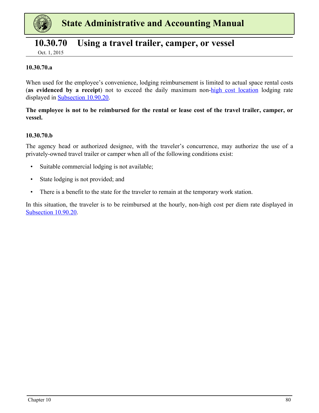<span id="page-20-0"></span>

### **10.30.70 Using a travel trailer, camper, or vessel**

Oct. 1, 2015

#### **10.30.70.a**

When used for the employee's convenience, lodging reimbursement is limited to actual space rental costs (**as evidenced by a receipt**) not to exceed the daily maximum non-high cost location lodging rate displayed in [Subsection 10.90.20](#page-52-0).

#### **The employee is not to be reimbursed for the rental or lease cost of the travel trailer, camper, or vessel.**

#### **10.30.70.b**

The agency head or authorized designee, with the traveler's concurrence, may authorize the use of a privately-owned travel trailer or camper when all of the following conditions exist:

- Suitable commercial lodging is not available;
- State lodging is not provided; and
- There is a benefit to the state for the traveler to remain at the temporary work station.

In this situation, the traveler is to be reimbursed at the hourly, non-high cost per diem rate displayed in [Subsection 10.90.20](#page-52-0).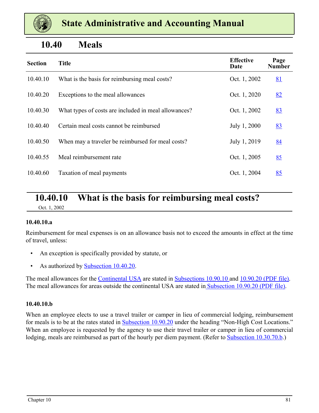<span id="page-21-0"></span>

### **10.40 Meals**

| <b>Section</b> | <b>Title</b>                                         | <b>Effective</b><br>Date | Page<br><b>Number</b> |
|----------------|------------------------------------------------------|--------------------------|-----------------------|
| 10.40.10       | What is the basis for reimbursing meal costs?        | Oct. 1, 2002             | <u>81</u>             |
| 10.40.20       | Exceptions to the meal allowances                    | Oct. 1, 2020             | 82                    |
| 10.40.30       | What types of costs are included in meal allowances? | Oct. 1, 2002             | 83                    |
| 10.40.40       | Certain meal costs cannot be reimbursed              | July 1, 2000             | 83                    |
| 10.40.50       | When may a traveler be reimbursed for meal costs?    | July 1, 2019             | 84                    |
| 10.40.55       | Meal reimbursement rate                              | Oct. 1, 2005             | 85                    |
| 10.40.60       | Taxation of meal payments                            | Oct. 1, 2004             | 85                    |

### **10.40.10 What is the basis for reimbursing meal costs?**

Oct. 1, 2002

#### **10.40.10.a**

Reimbursement for meal expenses is on an allowance basis not to exceed the amounts in effect at the time of travel, unless:

- An exception is specifically provided by statute, or
- As authorized by **Subsection 10.40.20.**

The meal allowances for the Continental USA are stated in [Subsections 10.90.10 a](#page-51-0)nd [10.90.20 \(PDF file\).](https://ofm.wa.gov/sites/default/files/public/legacy/policy/ReimbursementRatesforLodgingMealsandPrivatelyOwnedVehicleMileage.pdf) The meal allowances for areas outside the continental USA are stated i[n Subsection 10.90.20 \(PDF file\)](https://ofm.wa.gov/sites/default/files/public/legacy/policy/ReimbursementRatesforLodgingMealsandPrivatelyOwnedVehicleMileage.pdf).

#### **10.40.10.b**

When an employee elects to use a travel trailer or camper in lieu of commercial lodging, reimbursement for meals is to be at the rates stated in [Subsection 10.90.20](#page-52-0) under the heading "Non-High Cost Locations." When an employee is requested by the agency to use their travel trailer or camper in lieu of commercial lodging, meals are reimbursed as part of the hourly per diem payment. (Refer to **Subsection 10.30.70.b.**)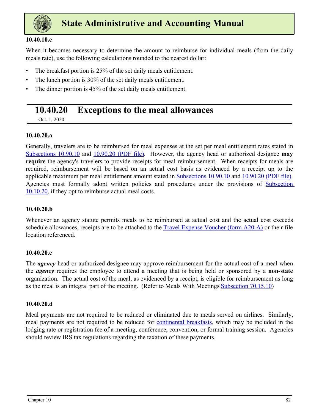<span id="page-22-0"></span>

#### **10.40.10.c**

When it becomes necessary to determine the amount to reimburse for individual meals (from the daily meals rate), use the following calculations rounded to the nearest dollar:

- The breakfast portion is 25% of the set daily meals entitlement.
- The lunch portion is 30% of the set daily meals entitlement.
- The dinner portion is 45% of the set daily meals entitlement.

### **10.40.20 Exceptions to the meal allowances**

Oct. 1, 2020

#### **10.40.20.a**

Generally, travelers are to be reimbursed for meal expenses at the set per meal entitlement rates stated in [Subsections 10.90.10](#page-51-0) and [10.90.20 \(PDF file\)](https://ofm.wa.gov/sites/default/files/public/legacy/policy/ReimbursementRatesforLodgingMealsandPrivatelyOwnedVehicleMileage.pdf). However, the agency head or authorized designee **may require** the agency's travelers to provide receipts for meal reimbursement. When receipts for meals are required, reimbursement will be based on an actual cost basis as evidenced by a receipt up to the applicable maximum per meal entitlement amount stated in [Subsections 10.90.10](#page-51-0) and [10.90.20 \(PDF file\)](https://ofm.wa.gov/sites/default/files/public/legacy/policy/ReimbursementRatesforLodgingMealsandPrivatelyOwnedVehicleMileage.pdf). Agencies must formally adopt written policies and procedures under the provisions of [Subsection](#page-4-0)  [10.10.20,](#page-4-0) if they opt to reimburse actual meal costs.

#### **10.40.20.b**

Whenever an agency statute permits meals to be reimbursed at actual cost and the actual cost exceeds schedule allowances, receipts are to be attached to the **[Travel Expense Voucher \(form A20-A\)](https://ofm.wa.gov/sites/default/files/public/legacy/policy/TravelExpenseVoucher-Employees%28A20-A%29.xlsx)** or their file location referenced.

#### **10.40.20.c**

The *agency* head or authorized designee may approve reimbursement for the actual cost of a meal when the *agency* requires the employee to attend a meeting that is being held or sponsored by a **non-state** organization. The actual cost of the meal, as evidenced by a receipt, is eligible for reimbursement as long as the meal is an integral part of the meeting. (Refer to Meals With Meetings Subsection 70.15.10)

#### **10.40.20.d**

Meal payments are not required to be reduced or eliminated due to meals served on airlines. Similarly, meal payments are not required to be reduced for continental breakfasts, which may be included in the lodging rate or registration fee of a meeting, conference, convention, or formal training session. Agencies should review IRS tax regulations regarding the taxation of these payments.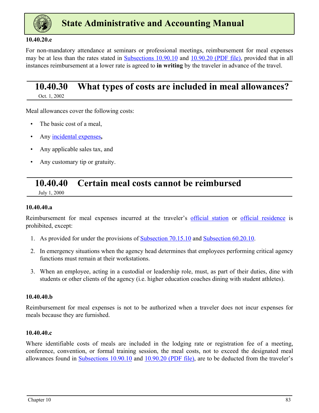<span id="page-23-0"></span>

#### **10.40.20.e**

For non-mandatory attendance at seminars or professional meetings, reimbursement for meal expenses may be at less than the rates stated in [Subsections 10.90.10](#page-51-0) and [10.90.20 \(PDF file\)](https://ofm.wa.gov/sites/default/files/public/legacy/policy/ReimbursementRatesforLodgingMealsandPrivatelyOwnedVehicleMileage.pdf), provided that in all instances reimbursement at a lower rate is agreed to **in writing** by the traveler in advance of the travel.

### **10.40.30 What types of costs are included in meal allowances?**

Oct. 1, 2002

Meal allowances cover the following costs:

- The basic cost of a meal.
- Any incidental expenses**,**
- Any applicable sales tax, and
- Any customary tip or gratuity.

### **10.40.40 Certain meal costs cannot be reimbursed**

July 1, 2000

#### **10.40.40.a**

Reimbursement for meal expenses incurred at the traveler's official station or official residence is prohibited, except:

- 1. As provided for under the provisions of Subsection 70.15.10 and Subsection 60.20.10.
- 2. In emergency situations when the agency head determines that employees performing critical agency functions must remain at their workstations.
- 3. When an employee, acting in a custodial or leadership role, must, as part of their duties, dine with students or other clients of the agency (i.e. higher education coaches dining with student athletes).

#### **10.40.40.b**

Reimbursement for meal expenses is not to be authorized when a traveler does not incur expenses for meals because they are furnished.

#### **10.40.40.c**

Where identifiable costs of meals are included in the lodging rate or registration fee of a meeting, conference, convention, or formal training session, the meal costs, not to exceed the designated meal allowances found in [Subsections 10.90.10](#page-51-0) and [10.90.20 \(PDF file\)](https://ofm.wa.gov/sites/default/files/public/legacy/policy/ReimbursementRatesforLodgingMealsandPrivatelyOwnedVehicleMileage.pdf), are to be deducted from the traveler's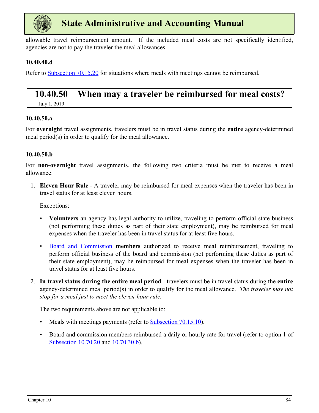<span id="page-24-0"></span>

allowable travel reimbursement amount. If the included meal costs are not specifically identified, agencies are not to pay the traveler the meal allowances.

#### **10.40.40.d**

Refer to Subsection 70.15.20 for situations where meals with meetings cannot be reimbursed.

### **10.40.50 When may a traveler be reimbursed for meal costs?**

July 1, 2019

#### **10.40.50.a**

For **overnight** travel assignments, travelers must be in travel status during the **entire** agency-determined meal period(s) in order to qualify for the meal allowance.

#### **10.40.50.b**

For **non-overnight** travel assignments, the following two criteria must be met to receive a meal allowance:

1. **Eleven Hour Rule** - A traveler may be reimbursed for meal expenses when the traveler has been in travel status for at least eleven hours.

Exceptions:

- **Volunteers** an agency has legal authority to utilize, traveling to perform official state business (not performing these duties as part of their state employment), may be reimbursed for meal expenses when the traveler has been in travel status for at least five hours.
- Board and Commission **members** authorized to receive meal reimbursement, traveling to perform official business of the board and commission (not performing these duties as part of their state employment), may be reimbursed for meal expenses when the traveler has been in travel status for at least five hours.
- 2. **In travel status during the entire meal period** travelers must be in travel status during the **entire**  agency-determined meal period(s) in order to qualify for the meal allowance. *The traveler may not stop for a meal just to meet the eleven-hour rule.*

The two requirements above are not applicable to:

- Meals with meetings payments (refer to Subsection 70.15.10).
- Board and commission members reimbursed a daily or hourly rate for travel (refer to option 1 of [Subsection 10.70.20](#page-39-0) and [10.70.30.b](#page-41-0)).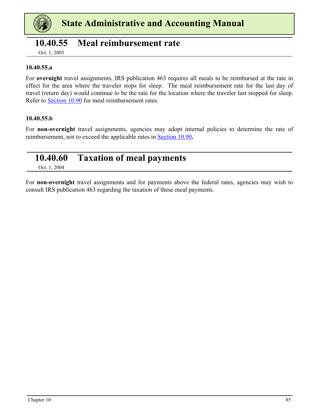<span id="page-25-0"></span>

### **10.40.55 Meal reimbursement rate**

Oct. 1, 2005

#### **10.40.55.a**

For **overnight** travel assignments, IRS publication 463 requires all meals to be reimbursed at the rate in effect for the area where the traveler stops for sleep. The meal reimbursement rate for the last day of travel (return day) would continue to be the rate for the location where the traveler last stopped for sleep. Refer to [Section 10.90](#page-51-0) for meal reimbursement rates.

#### **10.40.55.b**

For **non-overnight** travel assignments, agencies may adopt internal policies to determine the rate of reimbursement, not to exceed the applicable rates in [Section 10.90](#page-51-0)**.**

### **10.40.60 Taxation of meal payments**

Oct. 1, 2004

For **non-overnight** travel assignments and for payments above the federal rates, agencies may wish to consult IRS publication 463 regarding the taxation of these meal payments.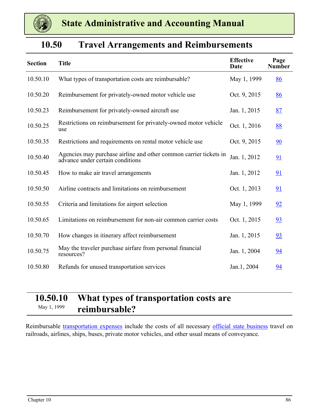<span id="page-26-0"></span>

### **10.50 Travel Arrangements and Reimbursements**

| <b>Section</b> | <b>Title</b>                                                                                          | <b>Effective</b><br>Date | Page<br><b>Number</b> |
|----------------|-------------------------------------------------------------------------------------------------------|--------------------------|-----------------------|
| 10.50.10       | What types of transportation costs are reimbursable?                                                  | May 1, 1999              | 86                    |
| 10.50.20       | Reimbursement for privately-owned motor vehicle use                                                   | Oct. 9, 2015             | 86                    |
| 10.50.23       | Reimbursement for privately-owned aircraft use                                                        | Jan. 1, 2015             | 87                    |
| 10.50.25       | Restrictions on reimbursement for privately-owned motor vehicle<br>use                                | Oct. 1, 2016             | 88                    |
| 10.50.35       | Restrictions and requirements on rental motor vehicle use                                             | Oct. 9, 2015             | 90                    |
| 10.50.40       | Agencies may purchase airline and other common carrier tickets in<br>advance under certain conditions | Jan. 1, 2012             | 91                    |
| 10.50.45       | How to make air travel arrangements                                                                   | Jan. 1, 2012             | 91                    |
| 10.50.50       | Airline contracts and limitations on reimbursement                                                    | Oct. 1, 2013             | 91                    |
| 10.50.55       | Criteria and limitations for airport selection                                                        | May 1, 1999              | 92                    |
| 10.50.65       | Limitations on reimbursement for non-air common carrier costs                                         | Oct. 1, 2015             | 93                    |
| 10.50.70       | How changes in itinerary affect reimbursement                                                         | Jan. 1, 2015             | 93                    |
| 10.50.75       | May the traveler purchase airfare from personal financial<br>resources?                               | Jan. 1, 2004             | 94                    |
| 10.50.80       | Refunds for unused transportation services                                                            | Jan.1, 2004              | 94                    |

### **10.50.10 What types of transportation costs are**  May 1, 1999 **reimbursable?**

Reimbursable transportation expenses include the costs of all necessary official state business travel on railroads, airlines, ships, buses, private motor vehicles, and other usual means of conveyance.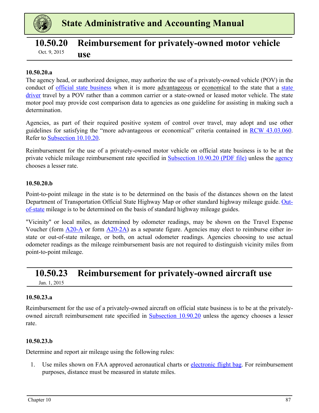<span id="page-27-0"></span>

### **10.50.20 Reimbursement for privately-owned motor vehicle use** Oct. 9, 2015

#### **10.50.20.a**

The agency head, or authorized designee, may authorize the use of a privately-owned vehicle (POV) in the conduct of <u>official state business</u> when it is more advantageous or economical to the state that a state driver travel by a POV rather than a common carrier or a state-owned or leased motor vehicle. The state motor pool may provide cost comparison data to agencies as one guideline for assisting in making such a determination.

Agencies, as part of their required positive system of control over travel, may adopt and use other guidelines for satisfying the "more advantageous or economical" criteria contained in [RCW 43.03.060](https://app.leg.wa.gov/rcw/default.aspx?cite=43.03.060#:~:text=(1)%20Whenever%20it%20becomes%20necessary,vehicle%20rather%20than%20a%20common). Refer to [Subsection 10.10.20](#page-4-0).

Reimbursement for the use of a privately-owned motor vehicle on official state business is to be at the private vehicle mileage reimbursement rate specified in [Subsection 10.90.20 \(PDF file\)](https://ofm.wa.gov/sites/default/files/public/legacy/policy/ReimbursementRatesforLodgingMealsandPrivatelyOwnedVehicleMileage.pdf) unless the agency chooses a lesser rate.

#### **10.50.20.b**

Point-to-point mileage in the state is to be determined on the basis of the distances shown on the latest Department of Transportation Official State Highway Map or other standard highway mileage guide. Outof-state mileage is to be determined on the basis of standard highway mileage guides.

"Vicinity" or local miles, as determined by odometer readings, may be shown on the Travel Expense Voucher (form  $\triangle 20-A$  or form  $\triangle 20-A$ ) as a separate figure. Agencies may elect to reimburse either instate or out-of-state mileage, or both, on actual odometer readings. Agencies choosing to use actual odometer readings as the mileage reimbursement basis are not required to distinguish vicinity miles from point-to-point mileage.

### **10.50.23 Reimbursement for privately-owned aircraft use**

Jan. 1, 2015

#### **10.50.23.a**

Reimbursement for the use of a privately-owned aircraft on official state business is to be at the privatelyowned aircraft reimbursement rate specified in [Subsection 10.90.20](#page-52-0) unless the agency chooses a lesser rate.

#### **10.50.23.b**

Determine and report air mileage using the following rules:

1. Use miles shown on FAA approved aeronautical charts or electronic flight bag. For reimbursement purposes, distance must be measured in statute miles.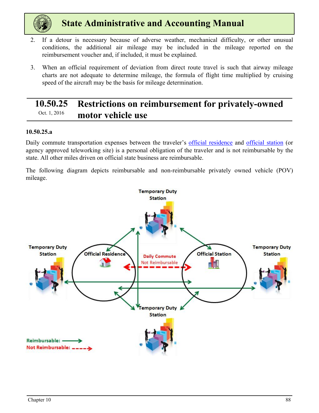<span id="page-28-0"></span>

- 2. If a detour is necessary because of adverse weather, mechanical difficulty, or other unusual conditions, the additional air mileage may be included in the mileage reported on the reimbursement voucher and, if included, it must be explained.
- 3. When an official requirement of deviation from direct route travel is such that airway mileage charts are not adequate to determine mileage, the formula of flight time multiplied by cruising speed of the aircraft may be the basis for mileage determination.

### **10.50.25 Restrictions on reimbursement for privately-owned Dct.** 1, 2016 **motor vehicle use**

#### **10.50.25.a**

Daily commute transportation expenses between the traveler's official residence and official station (or agency approved teleworking site) is a personal obligation of the traveler and is not reimbursable by the state. All other miles driven on official state business are reimbursable.

The following diagram depicts reimbursable and non-reimbursable privately owned vehicle (POV) mileage.

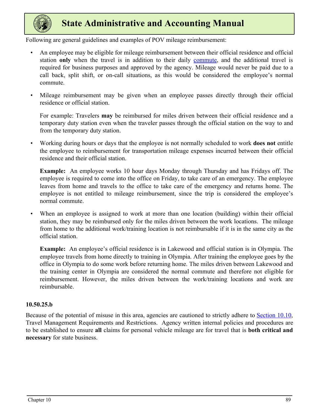

Following are general guidelines and examples of POV mileage reimbursement:

- An employee may be eligible for mileage reimbursement between their official residence and official station **only** when the travel is in addition to their daily commute, and the additional travel is required for business purposes and approved by the agency. Mileage would never be paid due to a call back, split shift, or on-call situations, as this would be considered the employee's normal commute.
- Mileage reimbursement may be given when an employee passes directly through their official residence or official station.

For example: Travelers **may** be reimbursed for miles driven between their official residence and a temporary duty station even when the traveler passes through the official station on the way to and from the temporary duty station.

• Working during hours or days that the employee is not normally scheduled to work **does not** entitle the employee to reimbursement for transportation mileage expenses incurred between their official residence and their official station.

**Example:** An employee works 10 hour days Monday through Thursday and has Fridays off. The employee is required to come into the office on Friday, to take care of an emergency. The employee leaves from home and travels to the office to take care of the emergency and returns home. The employee is not entitled to mileage reimbursement, since the trip is considered the employee's normal commute.

When an employee is assigned to work at more than one location (building) within their official station, they may be reimbursed only for the miles driven between the work locations. The mileage from home to the additional work/training location is not reimbursable if it is in the same city as the official station.

**Example:** An employee's official residence is in Lakewood and official station is in Olympia. The employee travels from home directly to training in Olympia. After training the employee goes by the office in Olympia to do some work before returning home. The miles driven between Lakewood and the training center in Olympia are considered the normal commute and therefore not eligible for reimbursement. However, the miles driven between the work/training locations and work are reimbursable.

#### **10.50.25.b**

Because of the potential of misuse in this area, agencies are cautioned to strictly adhere to **[Section 10.10](#page-1-0)**, Travel Management Requirements and Restrictions. Agency written internal policies and procedures are to be established to ensure **all** claims for personal vehicle mileage are for travel that is **both critical and necessary** for state business.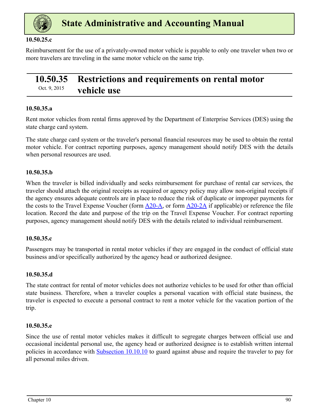<span id="page-30-0"></span>

#### **10.50.25.c**

Reimbursement for the use of a privately-owned motor vehicle is payable to only one traveler when two or more travelers are traveling in the same motor vehicle on the same trip.

### **10.50.35 Restrictions and requirements on rental motor**  Oct. 9, 2015 **vehicle use**

#### **10.50.35.a**

Rent motor vehicles from rental firms approved by the Department of Enterprise Services (DES) using the state charge card system.

The state charge card system or the traveler's personal financial resources may be used to obtain the rental motor vehicle. For contract reporting purposes, agency management should notify DES with the details when personal resources are used.

#### **10.50.35.b**

When the traveler is billed individually and seeks reimbursement for purchase of rental car services, the traveler should attach the original receipts as required or agency policy may allow non-original receipts if the agency ensures adequate controls are in place to reduce the risk of duplicate or improper payments for the costs to the Travel Expense Voucher (form  $\Delta 20-\Delta$ , or form  $\Delta 20-\Delta \Delta$  if applicable) or reference the file location. Record the date and purpose of the trip on the Travel Expense Voucher. For contract reporting purposes, agency management should notify DES with the details related to individual reimbursement.

#### **10.50.35.c**

Passengers may be transported in rental motor vehicles if they are engaged in the conduct of official state business and/or specifically authorized by the agency head or authorized designee.

#### **10.50.35.d**

The state contract for rental of motor vehicles does not authorize vehicles to be used for other than official state business. Therefore, when a traveler couples a personal vacation with official state business, the traveler is expected to execute a personal contract to rent a motor vehicle for the vacation portion of the trip.

#### **10.50.35.e**

Since the use of rental motor vehicles makes it difficult to segregate charges between official use and occasional incidental personal use, the agency head or authorized designee is to establish written internal policies in accordance with **[Subsection 10.10.10](#page-2-0)** to guard against abuse and require the traveler to pay for all personal miles driven.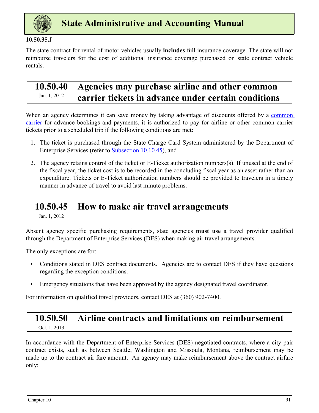<span id="page-31-0"></span>

#### **10.50.35.f**

The state contract for rental of motor vehicles usually **includes** full insurance coverage. The state will not reimburse travelers for the cost of additional insurance coverage purchased on state contract vehicle rentals.

### **10.50.40 Agencies may purchase airline and other common**  <sup>Jan. 1, 2012</sup> carrier tickets in advance under certain conditions

When an agency determines it can save money by taking advantage of discounts offered by a common carrier for advance bookings and payments, it is authorized to pay for airline or other common carrier tickets prior to a scheduled trip if the following conditions are met:

- 1. The ticket is purchased through the State Charge Card System administered by the Department of Enterprise Services (refer to [Subsection 10.10.45\)](#page-6-0), and
- 2. The agency retains control of the ticket or E-Ticket authorization numbers(s). If unused at the end of the fiscal year, the ticket cost is to be recorded in the concluding fiscal year as an asset rather than an expenditure. Tickets or E-Ticket authorization numbers should be provided to travelers in a timely manner in advance of travel to avoid last minute problems.

### **10.50.45 How to make air travel arrangements**

Jan. 1, 2012

Absent agency specific purchasing requirements, state agencies **must use** a travel provider qualified through the Department of Enterprise Services (DES) when making air travel arrangements.

The only exceptions are for:

- Conditions stated in DES contract documents. Agencies are to contact DES if they have questions regarding the exception conditions.
- Emergency situations that have been approved by the agency designated travel coordinator.

For information on qualified travel providers, contact DES at (360) 902-7400.

## **10.50.50 Airline contracts and limitations on reimbursement**

Oct. 1, 2013

In accordance with the Department of Enterprise Services (DES) negotiated contracts, where a city pair contract exists, such as between Seattle, Washington and Missoula, Montana, reimbursement may be made up to the contract air fare amount. An agency may make reimbursement above the contract airfare only: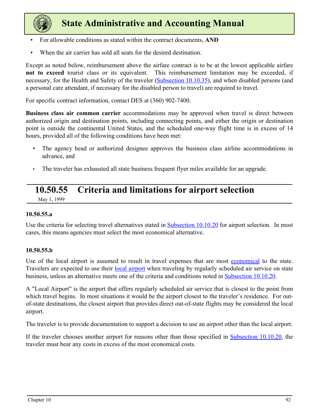<span id="page-32-0"></span>

- For allowable conditions as stated within the contract documents, **AND**
- When the air carrier has sold all seats for the desired destination.

Except as noted below, reimbursement above the airfare contract is to be at the lowest applicable airfare **not to exceed** tourist class or its equivalent. This reimbursement limitation may be exceeded, if necessary, for the Health and Safety of the traveler [\(Subsection 10.10.35\)](#page-5-0), and when disabled persons (and a personal care attendant, if necessary for the disabled person to travel) are required to travel.

For specific contract information, contact DES at (360) 902-7400.

**Business class air common carrier** accommodations may be approved when travel is direct between authorized origin and destination points, including connecting points, and either the origin or destination point is outside the continental United States, and the scheduled one-way flight time is in excess of 14 hours, provided all of the following conditions have been met:

- The agency head or authorized designee approves the business class airline accommodations in advance, and
- The traveler has exhausted all state business frequent flyer miles available for an upgrade.

### **10.50.55 Criteria and limitations for airport selection**

May 1, 1999

#### **10.50.55.a**

Use the criteria for selecting travel alternatives stated in [Subsection 10.10.20](#page-4-0) for airport selection. In most cases, this means agencies must select the most economical alternative.

#### **10.50.55.b**

Use of the local airport is assumed to result in travel expenses that are most economical to the state. Travelers are expected to use their local airport when traveling by regularly scheduled air service on state business, unless an alternative meets one of the criteria and conditions noted in [Subsection 10.10.20.](#page-4-0)

A "Local Airport" is the airport that offers regularly scheduled air service that is closest to the point from which travel begins. In most situations it would be the airport closest to the traveler's residence. For outof-state destinations, the closest airport that provides direct out-of-state flights may be considered the local airport.

The traveler is to provide documentation to support a decision to use an airport other than the local airport.

If the traveler chooses another airport for reasons other than those specified in [Subsection 10.10.20](#page-4-0), the traveler must bear any costs in excess of the most economical costs.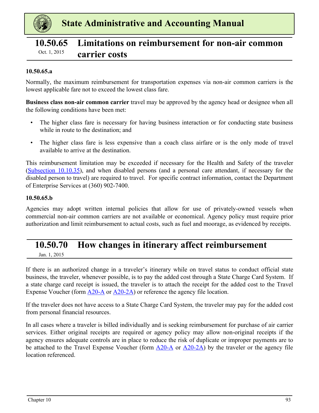<span id="page-33-0"></span>

### **10.50.65 Limitations on reimbursement for non-air common**  Oct. 1, 2015 **carrier costs**

#### **10.50.65.a**

Normally, the maximum reimbursement for transportation expenses via non-air common carriers is the lowest applicable fare not to exceed the lowest class fare.

**Business class non-air common carrier** travel may be approved by the agency head or designee when all the following conditions have been met:

- The higher class fare is necessary for having business interaction or for conducting state business while in route to the destination; and
- The higher class fare is less expensive than a coach class airfare or is the only mode of travel available to arrive at the destination.

This reimbursement limitation may be exceeded if necessary for the Health and Safety of the traveler [\(Subsection 10.10.35](#page-5-0)), and when disabled persons (and a personal care attendant, if necessary for the disabled person to travel) are required to travel. For specific contract information, contact the Department of Enterprise Services at (360) 902-7400.

#### **10.50.65.b**

Agencies may adopt written internal policies that allow for use of privately-owned vessels when commercial non-air common carriers are not available or economical. Agency policy must require prior authorization and limit reimbursement to actual costs, such as fuel and moorage, as evidenced by receipts.

### **10.50.70 How changes in itinerary affect reimbursement**

Jan. 1, 2015

If there is an authorized change in a traveler's itinerary while on travel status to conduct official state business, the traveler, whenever possible, is to pay the added cost through a State Charge Card System. If a state charge card receipt is issued, the traveler is to attach the receipt for the added cost to the Travel Expense Voucher (form  $\triangle 20-A$  or  $\triangle 20-A$ ) or reference the agency file location.

If the traveler does not have access to a State Charge Card System, the traveler may pay for the added cost from personal financial resources.

In all cases where a traveler is billed individually and is seeking reimbursement for purchase of air carrier services. Either original receipts are required or agency policy may allow non-original receipts if the agency ensures adequate controls are in place to reduce the risk of duplicate or improper payments are to be attached to the Travel Expense Voucher (form [A20-A](https://ofm.wa.gov/sites/default/files/public/legacy/policy/TravelExpenseVoucher-Employees%28A20-A%29.xlsx) or [A20-2A\)](https://ofm.wa.gov/sites/default/files/public/legacy/policy/TravelExpenseVoucher-BoardMembersandCommissions%28A20-2A%29.xlsx) by the traveler or the agency file location referenced.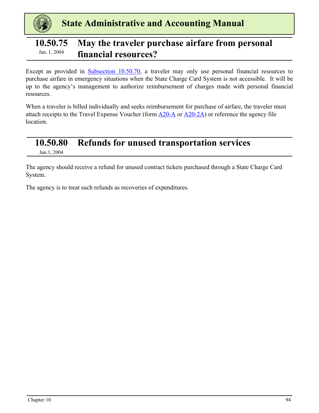<span id="page-34-0"></span>

### **10.50.75 May the traveler purchase airfare from personal financial resources?** Jan. 1, 2004

Except as provided in [Subsection 10.50.70](#page-33-0), a traveler may only use personal financial resources to purchase airfare in emergency situations when the State Charge Card System is not accessible. It will be up to the agency's management to authorize reimbursement of charges made with personal financial resources.

When a traveler is billed individually and seeks reimbursement for purchase of airfare, the traveler must attach receipts to the Travel Expense Voucher (form  $\triangle 20-A$  or  $\triangle 20-2A$ ) or reference the agency file location.

### **10.50.80 Refunds for unused transportation services**

Jan.1, 2004

The agency should receive a refund for unused contract tickets purchased through a State Charge Card System.

The agency is to treat such refunds as recoveries of expenditures.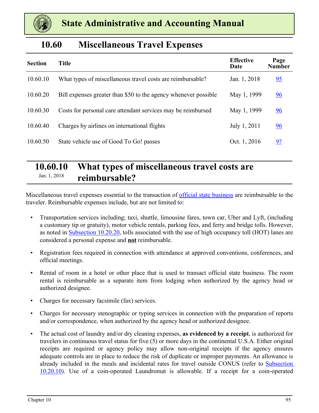<span id="page-35-0"></span>

### **10.60 Miscellaneous Travel Expenses**

| <b>Section</b> | <b>Title</b>                                                    | <b>Effective</b><br>Date | Page<br><b>Number</b> |
|----------------|-----------------------------------------------------------------|--------------------------|-----------------------|
| 10.60.10       | What types of miscellaneous travel costs are reimbursable?      | Jan. 1, 2018             | 95                    |
| 10.60.20       | Bill expenses greater than \$50 to the agency whenever possible | May 1, 1999              | 96                    |
| 10.60.30       | Costs for personal care attendant services may be reimbursed    | May 1, 1999              | $\frac{96}{9}$        |
| 10.60.40       | Charges by airlines on international flights                    | July 1, 2011             | $\underline{96}$      |
| 10.60.50       | State vehicle use of Good To Go! passes                         | Oct. 1, 2016             | 97                    |

### **10.60.10 What types of miscellaneous travel costs are**  Jan. 1, 2018 **reimbursable?**

Miscellaneous travel expenses essential to the transaction of official state business are reimbursable to the traveler. Reimbursable expenses include, but are not limited to:

- Transportation services including; taxi, shuttle, limousine fares, town car, Uber and Lyft, (including a customary tip or gratuity), motor vehicle rentals, parking fees, and ferry and bridge tolls. However, as noted in [Subsection 10.20.20](#page-4-0), tolls associated with the use of high occupancy toll (HOT) lanes are considered a personal expense and **not** reimbursable.
- Registration fees required in connection with attendance at approved conventions, conferences, and official meetings.
- Rental of room in a hotel or other place that is used to transact official state business. The room rental is reimbursable as a separate item from lodging when authorized by the agency head or authorized designee.
- Charges for necessary facsimile (fax) services.
- Charges for necessary stenographic or typing services in connection with the preparation of reports and/or correspondence, when authorized by the agency head or authorized designee.
- The actual cost of laundry and/or dry cleaning expenses, **as evidenced by a receipt**, is authorized for travelers in continuous travel status for five (5) or more days in the continental U.S.A. Either original receipts are required or agency policy may allow non-original receipts if the agency ensures adequate controls are in place to reduce the risk of duplicate or improper payments. An allowance is already included in the meals and incidental rates for travel outside CONUS (refer to [Subsection](#page-9-0)  [10.20.10](#page-9-0)). Use of a coin-operated Laundromat is allowable. If a receipt for a coin-operated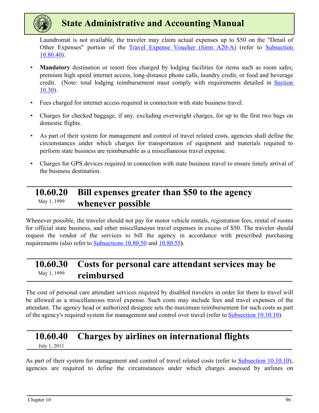<span id="page-36-0"></span>

Laundromat is not available, the traveler may claim actual expenses up to \$50 on the "Detail of Other Expenses" portion of the [Travel Expense Voucher \(form A20-](https://ofm.wa.gov/sites/default/files/public/legacy/policy/TravelExpenseVoucher-Employees%28A20-A%29.xlsx)A) (refer to [Subsection](#page-46-0)  [10.80.40](#page-46-0)).

- **Mandatory** destination or resort fees charged by lodging facilities for items such as room safes, premium high speed internet access, long-distance phone calls, laundry credit, or food and beverage credit. (Note: total lodging reimbursement must comply with requirements detailed in [Section](#page-14-0)  [10.30\)](#page-14-0).
- Fees charged for internet access required in connection with state business travel.
- Charges for checked baggage, if any, excluding overweight charges, for up to the first two bags on domestic flights.
- As part of their system for management and control of travel related costs, agencies shall define the circumstances under which charges for transportation of equipment and materials required to perform state business are reimbursable as a miscellaneous travel expense.
- Charges for GPS devices required in connection with state business travel to ensure timely arrival of the business destination.

### **10.60.20 Bill expenses greater than \$50 to the agency**  May 1, 1999 **whenever possible**

Whenever possible, the traveler should not pay for motor vehicle rentals, registration fees, rental of rooms for official state business, and other miscellaneous travel expenses in excess of \$50. The traveler should request the vendor of the services to bill the agency in accordance with prescribed purchasing requirements (also refer to [Subsections 10.80.50](#page-47-0) and [10.80.55](#page-47-0)**)**.

### **10.60.30 Costs for personal care attendant services may be**  May 1, 1999 **reimbursed**

The cost of personal care attendant services required by disabled travelers in order for them to travel will be allowed as a miscellaneous travel expense. Such costs may include fees and travel expenses of the attendant. The agency head or authorized designee sets the maximum reimbursement for such costs as part of the agency's required system for management and control over travel (refer to [Subsection 10.10.10\)](#page-2-0).

### **10.60.40 Charges by airlines on international flights**

July 1, 2011

As part of their system for management and control of travel related costs (refer to [Subsection 10.10.10](#page-2-0)), agencies are required to define the circumstances under which charges assessed by airlines on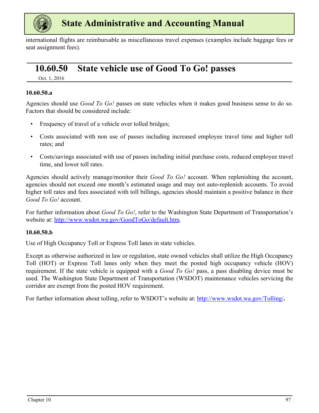<span id="page-37-0"></span>

international flights are reimbursable as miscellaneous travel expenses (examples include baggage fees or seat assignment fees).

### **10.60.50 State vehicle use of Good To Go! passes**

Oct. 1, 2016

#### **10.60.50.a**

Agencies should use *Good To Go!* passes on state vehicles when it makes good business sense to do so. Factors that should be considered include:

- Frequency of travel of a vehicle over tolled bridges;
- Costs associated with non use of passes including increased employee travel time and higher toll rates; and
- Costs/savings associated with use of passes including initial purchase costs, reduced employee travel time, and lower toll rates.

Agencies should actively manage/monitor their *Good To Go!* account. When replenishing the account, agencies should not exceed one month's estimated usage and may not auto-replenish accounts. To avoid higher toll rates and fees associated with toll billings, agencies should maintain a positive balance in their *Good To Go!* account.

For further information about *Good To Go!*, refer to the Washington State Department of Transportation's website at: http://www.wsdot.wa.gov/GoodToGo/default.htm.

#### **10.60.50.b**

Use of High Occupancy Toll or Express Toll lanes in state vehicles.

Except as otherwise authorized in law or regulation, state owned vehicles shall utilize the High Occupancy Toll (HOT) or Express Toll lanes only when they meet the posted high occupancy vehicle (HOV) requirement. If the state vehicle is equipped with a *Good To Go!* pass, a pass disabling device must be used. The Washington State Department of Transportation (WSDOT) maintenance vehicles servicing the corridor are exempt from the posted HOV requirement.

For further information about tolling, refer to WSDOT's website at: http://www.wsdot.wa.gov/Tolling/**.**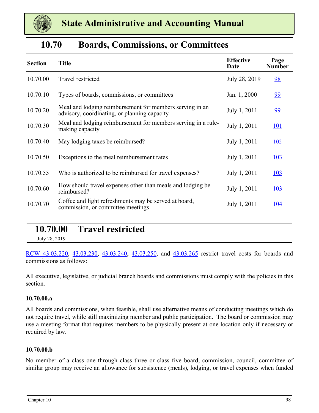<span id="page-38-0"></span>

| <b>Boards, Commissions, or Committees</b> | 10.70 |  |  |  |  |
|-------------------------------------------|-------|--|--|--|--|
|-------------------------------------------|-------|--|--|--|--|

| <b>Section</b> | <b>Title</b>                                                                                             | <b>Effective</b><br>Date | Page<br><b>Number</b> |
|----------------|----------------------------------------------------------------------------------------------------------|--------------------------|-----------------------|
| 10.70.00       | Travel restricted                                                                                        | July 28, 2019            | 98                    |
| 10.70.10       | Types of boards, commissions, or committees                                                              | Jan. 1, 2000             | 99                    |
| 10.70.20       | Meal and lodging reimbursement for members serving in an<br>advisory, coordinating, or planning capacity | July 1, 2011             | 99                    |
| 10.70.30       | Meal and lodging reimbursement for members serving in a rule-<br>making capacity                         | July 1, 2011             | <u>101</u>            |
| 10.70.40       | May lodging taxes be reimbursed?                                                                         | July 1, 2011             | <u>102</u>            |
| 10.70.50       | Exceptions to the meal reimbursement rates                                                               | July 1, 2011             | <u>103</u>            |
| 10.70.55       | Who is authorized to be reimbursed for travel expenses?                                                  | July 1, 2011             | <u>103</u>            |
| 10.70.60       | How should travel expenses other than meals and lodging be<br>reimbursed?                                | July 1, 2011             | <u>103</u>            |
| 10.70.70       | Coffee and light refreshments may be served at board,<br>commission, or committee meetings               | July 1, 2011             | 104                   |

### **10.70.00 Travel restricted**

July 28, 2019

[RCW 43.03.220](https://app.leg.wa.gov/rcw/default.aspx?cite=43.03.220), [43.03.230](https://app.leg.wa.gov/rcw/default.aspx?cite=43.03.230), [43.03.240,](https://app.leg.wa.gov/rcw/default.aspx?cite=43.03.240) [43.03.250,](https://app.leg.wa.gov/rcw/default.aspx?cite=43.03.250) and [43.03.265](https://app.leg.wa.gov/rcw/default.aspx?cite=43.03.265) restrict travel costs for boards and commissions as follows:

All executive, legislative, or judicial branch boards and commissions must comply with the policies in this section.

#### **10.70.00.a**

All boards and commissions, when feasible, shall use alternative means of conducting meetings which do not require travel, while still maximizing member and public participation. The board or commission may use a meeting format that requires members to be physically present at one location only if necessary or required by law.

#### **10.70.00.b**

No member of a class one through class three or class five board, commission, council, committee of similar group may receive an allowance for subsistence (meals), lodging, or travel expenses when funded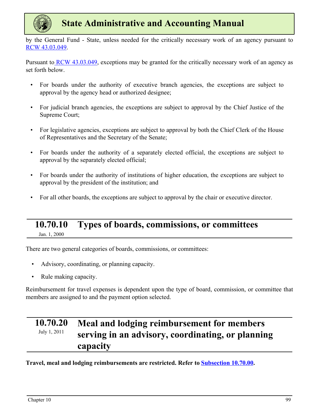<span id="page-39-0"></span>

by the General Fund - State, unless needed for the critically necessary work of an agency pursuant to [RCW 43.03.049.](https://app.leg.wa.gov/RCW/default.aspx?cite=43.03.049)

Pursuant t[o RCW 43.03.049](https://app.leg.wa.gov/RCW/default.aspx?cite=43.03.049), exceptions may be granted for the critically necessary work of an agency as set forth below.

- For boards under the authority of executive branch agencies, the exceptions are subject to approval by the agency head or authorized designee;
- For judicial branch agencies, the exceptions are subject to approval by the Chief Justice of the Supreme Court;
- For legislative agencies, exceptions are subject to approval by both the Chief Clerk of the House of Representatives and the Secretary of the Senate;
- For boards under the authority of a separately elected official, the exceptions are subject to approval by the separately elected official;
- For boards under the authority of institutions of higher education, the exceptions are subject to approval by the president of the institution; and
- For all other boards, the exceptions are subject to approval by the chair or executive director.

### **10.70.10 Types of boards, commissions, or committees** Jan. 1, 2000

There are two general categories of boards, commissions, or committees:

- Advisory, coordinating, or planning capacity.
- Rule making capacity.

Reimbursement for travel expenses is dependent upon the type of board, commission, or committee that members are assigned to and the payment option selected.

#### **10.70.20 Meal and lodging reimbursement for members serving in an advisory, coordinating, or planning capacity** July 1, 2011

**Travel, meal and lodging reimbursements are restricted. Refer to [Subsection 10.70.00.](#page-38-0)**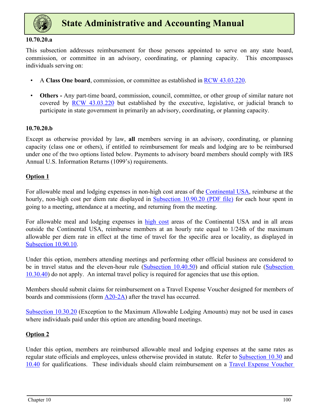

#### **10.70.20.a**

This subsection addresses reimbursement for those persons appointed to serve on any state board, commission, or committee in an advisory, coordinating, or planning capacity. This encompasses individuals serving on:

- A **Class One board**, commission, or committee as established in [RCW 43.03.220.](https://app.leg.wa.gov/RCW/default.aspx?cite=43.03.220)
- **Others** Any part-time board, commission, council, committee, or other group of similar nature not covered by [RCW 43.03.220](https://app.leg.wa.gov/RCW/default.aspx?cite=43.03.220) but established by the executive, legislative, or judicial branch to participate in state government in primarily an advisory, coordinating, or planning capacity.

#### **10.70.20.b**

Except as otherwise provided by law, **all** members serving in an advisory, coordinating, or planning capacity (class one or others), if entitled to reimbursement for meals and lodging are to be reimbursed under one of the two options listed below. Payments to advisory board members should comply with IRS Annual U.S. Information Returns (1099's) requirements.

#### **Option 1**

For allowable meal and lodging expenses in non-high cost areas of the Continental USA, reimburse at the hourly, non-high cost per diem rate displayed in [Subsection 10.90.20 \(PDF file\)](https://ofm.wa.gov/sites/default/files/public/legacy/policy/ReimbursementRatesforLodgingMealsandPrivatelyOwnedVehicleMileage.pdf) for each hour spent in going to a meeting, attendance at a meeting, and returning from the meeting.

For allowable meal and lodging expenses in high cost areas of the Continental USA and in all areas outside the Continental USA, reimburse members at an hourly rate equal to 1/24th of the maximum allowable per diem rate in effect at the time of travel for the specific area or locality, as displayed in [Subsection 10.90.10](#page-51-0).

Under this option, members attending meetings and performing other official business are considered to be in travel status and the eleven-hour rule [\(Subsection 10.40.50](#page-24-0)) and official station rule (Subsection [10.30.40\)](#page-18-0) do not apply. An internal travel policy is required for agencies that use this option.

Members should submit claims for reimbursement on a Travel Expense Voucher designed for members of boards and commissions (form  $\triangle 20-2A$ ) after the travel has occurred.

[Subsection 10.30.20](#page-15-0) (Exception to the Maximum Allowable Lodging Amounts) may not be used in cases where individuals paid under this option are attending board meetings.

#### **Option 2**

Under this option, members are reimbursed allowable meal and lodging expenses at the same rates as regular state officials and employees, unless otherwise provided in statute. Refer to [Subsection 10.30](#page-14-0) and [10.40](#page-21-0) for qualifications. These individuals should claim reimbursement on a [Travel Expense Voucher](https://ofm.wa.gov/sites/default/files/public/legacy/policy/TravelExpenseVoucher-Employees%28A20-A%29.xlsx)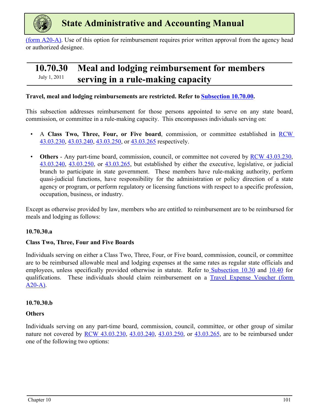<span id="page-41-0"></span>

[\(form](https://ofm.wa.gov/sites/default/files/public/legacy/policy/TravelExpenseVoucher-Employees%28A20-A%29.xlsx) A20-A). Use of this option for reimbursement requires prior written approval from the agency head or authorized designee.

### **10.70.30 Meal and lodging reimbursement for members**  July 1, 2011 **serving in a rule-making capacity**

#### **Travel, meal and lodging reimbursements are restricted. Refer to [Subsection 10.70.00.](#page-38-0)**

This subsection addresses reimbursement for those persons appointed to serve on any state board, commission, or committee in a rule-making capacity. This encompasses individuals serving on:

- A **Class Two, Three, Four, or Five board**, commission, or committee established in **RCW** [43.03.230](https://app.leg.wa.gov/rcw/default.aspx?cite=43.03.230#:~:text=RCW%2043.03.,amended%20by%202011%20c%205).), [43.03.240](https://app.leg.wa.gov/rcw/default.aspx?cite=43.03.240), [43.03.250](https://app.leg.wa.gov/rcw/default.aspx?cite=43.03.250), or [43.03.265](https://app.leg.wa.gov/rcw/default.aspx?cite=43.03.265) respectively.
- **Others** Any part-time board, commission, council, or committee not covered by [RCW 43.03.230](https://app.leg.wa.gov/rcw/default.aspx?cite=43.03.230), [43.03.240](https://app.leg.wa.gov/rcw/default.aspx?cite=43.03.240), [43.03.250,](https://app.leg.wa.gov/rcw/default.aspx?cite=43.03.250) or [43.03.265,](https://app.leg.wa.gov/rcw/default.aspx?cite=43.03.265) but established by either the executive, legislative, or judicial branch to participate in state government. These members have rule-making authority, perform quasi-judicial functions, have responsibility for the administration or policy direction of a state agency or program, or perform regulatory or licensing functions with respect to a specific profession, occupation, business, or industry.

Except as otherwise provided by law, members who are entitled to reimbursement are to be reimbursed for meals and lodging as follows:

#### **10.70.30.a**

#### **Class Two, Three, Four and Five Boards**

Individuals serving on either a Class Two, Three, Four, or Five board, commission, council, or committee are to be reimbursed allowable meal and lodging expenses at the same rates as regular state officials and employees, unless specifically provided otherwise in statute. Refer to [Subsection 10.30](#page-18-0) and [10.40](#page-21-0) for qualifications. These individuals should claim reimbursement on a [Travel Expense Voucher \(form](https://ofm.wa.gov/sites/default/files/public/legacy/policy/TravelExpenseVoucher-Employees%28A20-A%29.xlsx) [A20](https://ofm.wa.gov/sites/default/files/public/legacy/policy/TravelExpenseVoucher-Employees%28A20-A%29.xlsx)-A).

#### **10.70.30.b**

#### **Others**

Individuals serving on any part-time board, commission, council, committee, or other group of similar nature not covered by [RCW 43.03.230](https://app.leg.wa.gov/rcw/default.aspx?cite=43.03.230), [43.03.240,](https://app.leg.wa.gov/rcw/default.aspx?cite=43.03.240) [43.03.250](https://app.leg.wa.gov/rcw/default.aspx?cite=43.03.250), or [43.03.265,](https://app.leg.wa.gov/rcw/default.aspx?cite=43.03.265) are to be reimbursed under one of the following two options: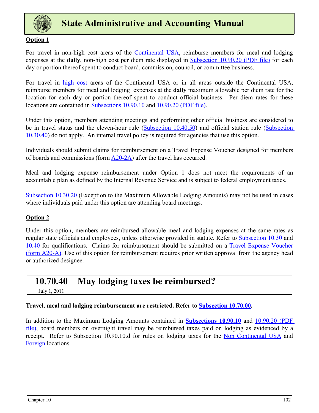<span id="page-42-0"></span>

#### **Option 1**

For travel in non-high cost areas of the Continental USA, reimburse members for meal and lodging expenses at the **daily**, non-high cost per diem rate displayed in [Subsection 10.90.20 \(PDF file\)](https://ofm.wa.gov/sites/default/files/public/legacy/policy/ReimbursementRatesforLodgingMealsandPrivatelyOwnedVehicleMileage.pdf) for each day or portion thereof spent to conduct board, commission, council, or committee business.

For travel in high cost areas of the Continental USA or in all areas outside the Continental USA, reimburse members for meal and lodging expenses at the **daily** maximum allowable per diem rate for the location for each day or portion thereof spent to conduct official business. Per diem rates for these locations are contained in [Subsections 10.90.10 a](#page-51-0)nd [10.90.20 \(PDF file\).](https://ofm.wa.gov/sites/default/files/public/legacy/policy/ReimbursementRatesforLodgingMealsandPrivatelyOwnedVehicleMileage.pdf)

Under this option, members attending meetings and performing other official business are considered to be in travel status and the eleven-hour rule [\(Subsection 10.40.50](#page-24-0)) and official station rule ([Subsection](#page-18-0)  [10.30.40\)](#page-18-0) do not apply. An internal travel policy is required for agencies that use this option.

Individuals should submit claims for reimbursement on a Travel Expense Voucher designed for members of boards and commissions (form [A20](https://ofm.wa.gov/sites/default/files/public/legacy/policy/TravelExpenseVoucher-BoardMembersandCommissions%28A20-2A%29.xlsx)-2A) after the travel has occurred.

Meal and lodging expense reimbursement under Option 1 does not meet the requirements of an accountable plan as defined by the Internal Revenue Service and is subject to federal employment taxes.

[Subsection 10.30.20](#page-17-0) (Exception to the Maximum Allowable Lodging Amounts) may not be used in cases where individuals paid under this option are attending board meetings.

#### **Option 2**

Under this option, members are reimbursed allowable meal and lodging expenses at the same rates as regular state officials and employees, unless otherwise provided in statute. Refer to [Subsection 10.30](#page-14-0) and [10.40](#page-21-0) for qualifications. Claims for reimbursement should be submitted on a [Travel Expense Voucher](https://ofm.wa.gov/sites/default/files/public/legacy/policy/TravelExpenseVoucher-Employees%28A20-A%29.xlsx)  [\(form](https://ofm.wa.gov/sites/default/files/public/legacy/policy/TravelExpenseVoucher-Employees%28A20-A%29.xlsx) A20-A). Use of this option for reimbursement requires prior written approval from the agency head or authorized designee.

### **10.70.40 May lodging taxes be reimbursed?**

July 1, 2011

**Travel, meal and lodging reimbursement are restricted. Refer to [Subsection 10.70.00.](#page-38-0)**

In addition to the Maximum Lodging Amounts contained in **[Subsections 10.90.10](#page-51-0)** and [10.90.20 \(PDF](https://ofm.wa.gov/sites/default/files/public/legacy/policy/ReimbursementRatesforLodgingMealsandPrivatelyOwnedVehicleMileage.pdf)  [file\)](https://ofm.wa.gov/sites/default/files/public/legacy/policy/ReimbursementRatesforLodgingMealsandPrivatelyOwnedVehicleMileage.pdf), board members on overnight travel may be reimbursed taxes paid on lodging as evidenced by a receipt. Refer to Subsection 10.90.10.d for rules on lodging taxes for the Non Continental USA and Foreign locations.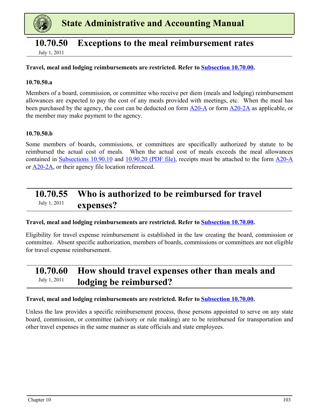<span id="page-43-0"></span>

### **10.70.50 Exceptions to the meal reimbursement rates**

July 1, 2011

#### **Travel, meal and lodging reimbursements are restricted. Refer to [Subsection 10.70.00.](#page-38-0)**

#### **10.70.50.a**

Members of a board, commission, or committee who receive per diem (meals and lodging) reimbursement allowances are expected to pay the cost of any meals provided with meetings, etc. When the meal has been purchased by the agency, the cost can be deducted on form  $\underline{A20-A}$  or form  $\underline{A20-A}$  as applicable, or the member may make payment to the agency.

#### **10.70.50.b**

Some members of boards, commissions, or committees are specifically authorized by statute to be reimbursed the actual cost of meals. When the actual cost of meals exceeds the meal allowances contained in [Subsections 10.90.10](#page-51-0) and [10.90.20 \(PDF file\)](https://ofm.wa.gov/sites/default/files/public/legacy/policy/ReimbursementRatesforLodgingMealsandPrivatelyOwnedVehicleMileage.pdf), receipts must be attached to the form [A20-A](https://ofm.wa.gov/sites/default/files/public/legacy/policy/TravelExpenseVoucher-Employees%28A20-A%29.xlsx) or [A20-2A,](https://ofm.wa.gov/sites/default/files/public/legacy/policy/TravelExpenseVoucher-BoardMembersandCommissions%28A20-2A%29.xlsx) or their agency file location referenced.

### **10.70.55 Who is authorized to be reimbursed for travel**  July 1, 2011 **expenses?**

#### **Travel, meal and lodging reimbursements are restricted. Refer to [Subsection 10.70.00.](#page-38-0)**

Eligibility for travel expense reimbursement is established in the law creating the board, commission or committee. Absent specific authorization, members of boards, commissions or committees are not eligible for travel expense reimbursement.

### **10.70.60 How should travel expenses other than meals and**  July 1, 2011 **lodging be reimbursed?**

#### **Travel, meal and lodging reimbursements are restricted. Refer to [Subsection 10.70.00.](#page-38-0)**

Unless the law provides a specific reimbursement process, those persons appointed to serve on any state board, commission, or committee (advisory or rule making) are to be reimbursed for transportation and other travel expenses in the same manner as state officials and state employees.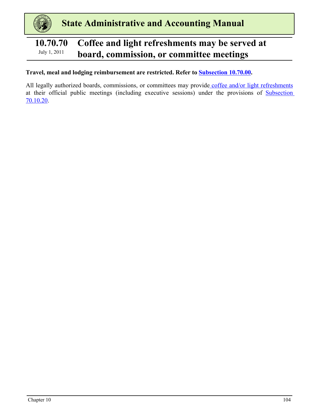### <span id="page-44-0"></span>**10.70.70 Coffee and light refreshments may be served at**  July 1, 2011 **board, commission, or committee meetings**

#### **Travel, meal and lodging reimbursement are restricted. Refer to [Subsection 10.70.00.](#page-38-0)**

All legally authorized boards, commissions, or committees may provide coffee and/or light refreshments at their official public meetings (including executive sessions) under the provisions of Subsection 70.10.20.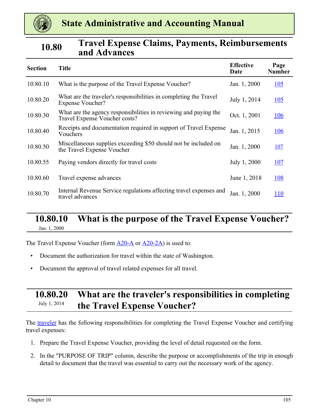<span id="page-45-0"></span>

### **10.80 Travel Expense Claims, Payments, Reimbursements and Advances**

| <b>Section</b> | <b>Title</b>                                                                                      | <b>Effective</b><br>Date | Page<br><b>Number</b> |
|----------------|---------------------------------------------------------------------------------------------------|--------------------------|-----------------------|
| 10.80.10       | What is the purpose of the Travel Expense Voucher?                                                | Jan. 1, 2000             | 105                   |
| 10.80.20       | What are the traveler's responsibilities in completing the Travel<br>Expense Voucher?             | July 1, 2014             | $\underline{105}$     |
| 10.80.30       | What are the agency responsibilities in reviewing and paying the<br>Travel Expense Voucher costs? | Oct. 1, 2001             | <u>106</u>            |
| 10.80.40       | Receipts and documentation required in support of Travel Expense<br>Vouchers                      | Jan. 1, 2015             | <u>106</u>            |
| 10.80.50       | Miscellaneous supplies exceeding \$50 should not be included on<br>the Travel Expense Voucher     | Jan. 1, 2000             | <b>107</b>            |
| 10.80.55       | Paying vendors directly for travel costs                                                          | July 1, 2000             | <u>107</u>            |
| 10.80.60       | Travel expense advances                                                                           | June 1, 2018             | <u>108</u>            |
| 10.80.70       | Internal Revenue Service regulations affecting travel expenses and<br>travel advances             | Jan. 1, 2000             | <b>110</b>            |

#### **10.80.10 What is the purpose of the Travel Expense Voucher?** Jan. 1, 2000

The Travel Expense Voucher (form  $\underline{A20-A}$  or  $\underline{A20-2A}$  $\underline{A20-2A}$  $\underline{A20-2A}$ ) is used to:

- Document the authorization for travel within the state of Washington.
- Document the approval of travel related expenses for all travel.

### **10.80.20 What are the traveler's responsibilities in completing**  July 1, 2014 **the Travel Expense Voucher?**

The traveler has the following responsibilities for completing the Travel Expense Voucher and certifying travel expenses:

- 1. Prepare the Travel Expense Voucher, providing the level of detail requested on the form.
- 2. In the "PURPOSE OF TRIP" column, describe the purpose or accomplishments of the trip in enough detail to document that the travel was essential to carry out the necessary work of the agency.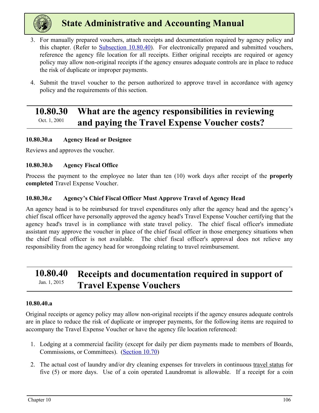<span id="page-46-0"></span>

- 3. For manually prepared vouchers, attach receipts and documentation required by agency policy and this chapter. (Refer to **Subsection 10.80.40)**. For electronically prepared and submitted vouchers, reference the agency file location for all receipts. Either original receipts are required or agency policy may allow non-original receipts if the agency ensures adequate controls are in place to reduce the risk of duplicate or improper payments.
- 4. Submit the travel voucher to the person authorized to approve travel in accordance with agency policy and the requirements of this section.

### **10.80.30 What are the agency responsibilities in reviewing Oct.** 1, 2001 **and paying the Travel Expense Voucher costs?**

#### **10.80.30.a Agency Head or Designee**

Reviews and approves the voucher.

#### **10.80.30.b Agency Fiscal Office**

Process the payment to the employee no later than ten (10) work days after receipt of the **properly completed** Travel Expense Voucher.

#### **10.80.30.c Agency's Chief Fiscal Officer Must Approve Travel of Agency Head**

An agency head is to be reimbursed for travel expenditures only after the agency head and the agency's chief fiscal officer have personally approved the agency head's Travel Expense Voucher certifying that the agency head's travel is in compliance with state travel policy. The chief fiscal officer's immediate assistant may approve the voucher in place of the chief fiscal officer in those emergency situations when the chief fiscal officer is not available. The chief fiscal officer's approval does not relieve any responsibility from the agency head for wrongdoing relating to travel reimbursement.

### **10.80.40 Receipts and documentation required in support of**  Jan. 1, 2015 **Travel Expense Vouchers**

#### **10.80.40.a**

Original receipts or agency policy may allow non-original receipts if the agency ensures adequate controls are in place to reduce the risk of duplicate or improper payments, for the following items are required to accompany the Travel Expense Voucher or have the agency file location referenced:

- 1. Lodging at a commercial facility (except for daily per diem payments made to members of Boards, Commissions, or Committees). ([Section 10.70\)](#page-38-0)
- 2. The actual cost of laundry and/or dry cleaning expenses for travelers in continuous travel status for five (5) or more days. Use of a coin operated Laundromat is allowable. If a receipt for a coin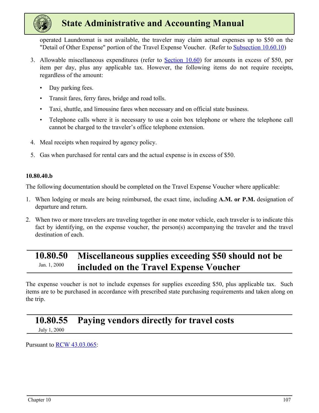<span id="page-47-0"></span>

operated Laundromat is not available, the traveler may claim actual expenses up to \$50 on the "Detail of Other Expense" portion of the Travel Expense Voucher. (Refer to [Subsection 10.60.10\)](#page-35-0)

- 3. Allowable miscellaneous expenditures (refer to [Section 10.60](#page-35-0)) for amounts in excess of \$50, per item per day, plus any applicable tax. However, the following items do not require receipts, regardless of the amount:
	- Day parking fees.
	- Transit fares, ferry fares, bridge and road tolls.
	- Taxi, shuttle, and limousine fares when necessary and on official state business.
	- Telephone calls where it is necessary to use a coin box telephone or where the telephone call cannot be charged to the traveler's office telephone extension.
- 4. Meal receipts when required by agency policy.
- 5. Gas when purchased for rental cars and the actual expense is in excess of \$50.

#### **10.80.40.b**

The following documentation should be completed on the Travel Expense Voucher where applicable:

- 1. When lodging or meals are being reimbursed, the exact time, including **A.M. or P.M.** designation of departure and return.
- 2. When two or more travelers are traveling together in one motor vehicle, each traveler is to indicate this fact by identifying, on the expense voucher, the person(s) accompanying the traveler and the travel destination of each.

### **10.80.50 Miscellaneous supplies exceeding \$50 should not be Idn.** 1, 2000 **included on the Travel Expense Voucher**

The expense voucher is not to include expenses for supplies exceeding \$50, plus applicable tax. Such items are to be purchased in accordance with prescribed state purchasing requirements and taken along on the trip.

### **10.80.55 Paying vendors directly for travel costs**

July 1, 2000

Pursuant to [RCW 43.03.065](https://app.leg.wa.gov/rcw/default.aspx?cite=43.03.065):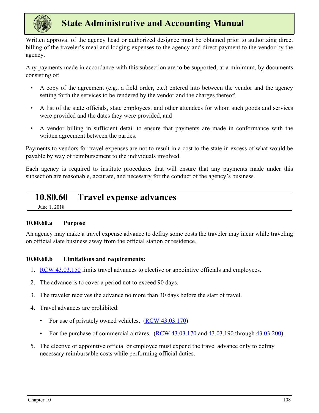<span id="page-48-0"></span>

Written approval of the agency head or authorized designee must be obtained prior to authorizing direct billing of the traveler's meal and lodging expenses to the agency and direct payment to the vendor by the agency.

Any payments made in accordance with this subsection are to be supported, at a minimum, by documents consisting of:

- A copy of the agreement (e.g., a field order, etc.) entered into between the vendor and the agency setting forth the services to be rendered by the vendor and the charges thereof;
- A list of the state officials, state employees, and other attendees for whom such goods and services were provided and the dates they were provided, and
- A vendor billing in sufficient detail to ensure that payments are made in conformance with the written agreement between the parties.

Payments to vendors for travel expenses are not to result in a cost to the state in excess of what would be payable by way of reimbursement to the individuals involved.

Each agency is required to institute procedures that will ensure that any payments made under this subsection are reasonable, accurate, and necessary for the conduct of the agency's business.

### **10.80.60 Travel expense advances**

June 1, 2018

#### **10.80.60.a Purpose**

An agency may make a travel expense advance to defray some costs the traveler may incur while traveling on official state business away from the official station or residence.

#### **10.80.60.b Limitations and requirements:**

- 1. [RCW 43.03.150](https://app.leg.wa.gov/RCW/default.aspx?cite=43.03.150) limits travel advances to elective or appointive officials and employees.
- 2. The advance is to cover a period not to exceed 90 days.
- 3. The traveler receives the advance no more than 30 days before the start of travel.
- 4. Travel advances are prohibited:
	- For use of privately owned vehicles.  $(RCW 43.03.170)$  $(RCW 43.03.170)$
	- For the purchase of commercial airfares.  $(RCW 43.03.170$  and  $43.03.190$  through  $43.03.200$ ).
- 5. The elective or appointive official or employee must expend the travel advance only to defray necessary reimbursable costs while performing official duties.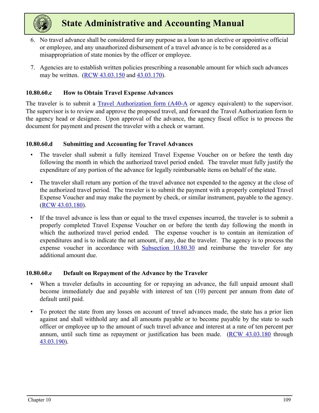

- 6. No travel advance shall be considered for any purpose as a loan to an elective or appointive official or employee, and any unauthorized disbursement of a travel advance is to be considered as a misappropriation of state monies by the officer or employee.
- 7. Agencies are to establish written policies prescribing a reasonable amount for which such advances may be written. [\(RCW 43.03.150](https://app.leg.wa.gov/rcw/default.aspx?cite=43.03.150) and [43.03.170](https://app.leg.wa.gov/rcw/default.aspx?cite=43.03.170)).

#### **10.80.60.c How to Obtain Travel Expense Advances**

The traveler is to submit a Travel Authorization form  $(A40-A)$  or agency equivalent) to the supervisor. The supervisor is to review and approve the proposed travel, and forward the Travel Authorization form to the agency head or designee. Upon approval of the advance, the agency fiscal office is to process the document for payment and present the traveler with a check or warrant.

#### **10.80.60.d Submitting and Accounting for Travel Advances**

- The traveler shall submit a fully itemized Travel Expense Voucher on or before the tenth day following the month in which the authorized travel period ended. The traveler must fully justify the expenditure of any portion of the advance for legally reimbursable items on behalf of the state.
- The traveler shall return any portion of the travel advance not expended to the agency at the close of the authorized travel period. The traveler is to submit the payment with a properly completed Travel Expense Voucher and may make the payment by check, or similar instrument, payable to the agency. [\(RCW 43.03.180\)](https://app.leg.wa.gov/RCW/default.aspx?cite=43.03.180).
- If the travel advance is less than or equal to the travel expenses incurred, the traveler is to submit a properly completed Travel Expense Voucher on or before the tenth day following the month in which the authorized travel period ended. The expense voucher is to contain an itemization of expenditures and is to indicate the net amount, if any, due the traveler. The agency is to process the expense voucher in accordance with [Subsection 10.80.30](#page-46-0) and reimburse the traveler for any additional amount due.

#### **10.80.60.e Default on Repayment of the Advance by the Traveler**

- When a traveler defaults in accounting for or repaying an advance, the full unpaid amount shall become immediately due and payable with interest of ten (10) percent per annum from date of default until paid.
- To protect the state from any losses on account of travel advances made, the state has a prior lien against and shall withhold any and all amounts payable or to become payable by the state to such officer or employee up to the amount of such travel advance and interest at a rate of ten percent per annum, until such time as repayment or justification has been made. [\(RCW 43.03.180](https://app.leg.wa.gov/RCW/default.aspx?cite=43.03.180) through [43.03.190](https://app.leg.wa.gov/RCW/default.aspx?cite=43.03.190)).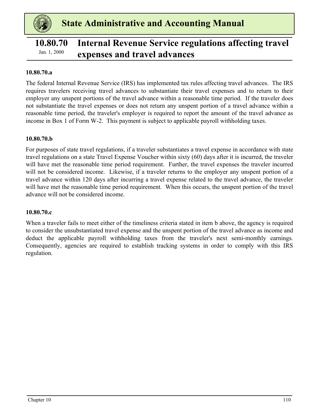<span id="page-50-0"></span>

### **10.80.70 Internal Revenue Service regulations affecting travel**  *Fan. 1, 2000* **expenses and travel advances**

#### **10.80.70.a**

The federal Internal Revenue Service (IRS) has implemented tax rules affecting travel advances. The IRS requires travelers receiving travel advances to substantiate their travel expenses and to return to their employer any unspent portions of the travel advance within a reasonable time period. If the traveler does not substantiate the travel expenses or does not return any unspent portion of a travel advance within a reasonable time period, the traveler's employer is required to report the amount of the travel advance as income in Box 1 of Form W-2. This payment is subject to applicable payroll withholding taxes.

#### **10.80.70.b**

For purposes of state travel regulations, if a traveler substantiates a travel expense in accordance with state travel regulations on a state Travel Expense Voucher within sixty (60) days after it is incurred, the traveler will have met the reasonable time period requirement. Further, the travel expenses the traveler incurred will not be considered income. Likewise, if a traveler returns to the employer any unspent portion of a travel advance within 120 days after incurring a travel expense related to the travel advance, the traveler will have met the reasonable time period requirement. When this occurs, the unspent portion of the travel advance will not be considered income.

#### **10.80.70.c**

When a traveler fails to meet either of the timeliness criteria stated in item b above, the agency is required to consider the unsubstantiated travel expense and the unspent portion of the travel advance as income and deduct the applicable payroll withholding taxes from the traveler's next semi-monthly earnings. Consequently, agencies are required to establish tracking systems in order to comply with this IRS regulation.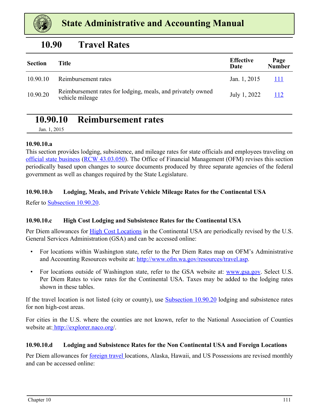<span id="page-51-0"></span>

### **10.90 Travel Rates**

| <b>Section</b> | <b>Title</b>                                                                   | <b>Effective</b><br>Date | Page<br><b>Number</b> |
|----------------|--------------------------------------------------------------------------------|--------------------------|-----------------------|
| 10.90.10       | Reimbursement rates                                                            | Jan. 1, 2015             | 111                   |
| 10.90.20       | Reimbursement rates for lodging, meals, and privately owned<br>vehicle mileage | July 1, 2022             | 112                   |

### **10.90.10 Reimbursement rates**

Jan. 1, 2015

#### **10.90.10.a**

This section provides lodging, subsistence, and mileage rates for state officials and employees traveling on official state business ([RCW 43.03.050](https://app.leg.wa.gov/RCW/default.aspx?cite=43.03.050)). The Office of Financial Management (OFM) revises this section periodically based upon changes to source documents produced by three separate agencies of the federal government as well as changes required by the State Legislature.

#### **10.90.10.b Lodging, Meals, and Private Vehicle Mileage Rates for the Continental USA**

Refer to [Subsection 10.90.20](#page-52-0).

#### **10.90.10.c High Cost Lodging and Subsistence Rates for the Continental USA**

Per Diem allowances for **High Cost Locations** in the Continental USA are periodically revised by the U.S. General Services Administration (GSA) and can be accessed online:

- For locations within Washington state, refer to the Per Diem Rates map on OFM's Administrative and Accounting Resources website at: http://www.ofm.wa.gov/resources/travel.asp.
- For locations outside of Washington state, refer to the GSA website at: www.gsa.gov. Select U.S. Per Diem Rates to view rates for the Continental USA. Taxes may be added to the lodging rates shown in these tables.

If the travel location is not listed (city or county), use **[Subsection 10.90.20](#page-52-0)** lodging and subsistence rates for non high-cost areas.

For cities in the U.S. where the counties are not known, refer to the National Association of Counties website at[: http://explorer.naco.org/.](http://explorer.naco.org/)

#### **10.90.10.d Lodging and Subsistence Rates for the Non Continental USA and Foreign Locations**

Per Diem allowances for foreign travel locations, Alaska, Hawaii, and US Possessions are revised monthly and can be accessed online: